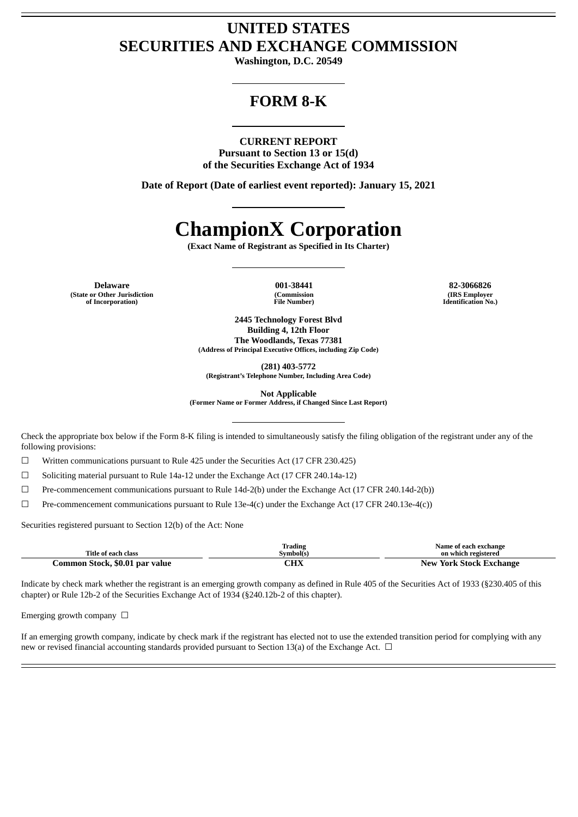# **UNITED STATES SECURITIES AND EXCHANGE COMMISSION**

**Washington, D.C. 20549**

# **FORM 8-K**

### **CURRENT REPORT**

**Pursuant to Section 13 or 15(d) of the Securities Exchange Act of 1934**

**Date of Report (Date of earliest event reported): January 15, 2021**

# **ChampionX Corporation**

**(Exact Name of Registrant as Specified in Its Charter)**

**Delaware 001-38441 82-3066826 (State or Other Jurisdiction of Incorporation)**

**(Commission File Number)**

**(IRS Employer Identification No.)**

**2445 Technology Forest Blvd Building 4, 12th Floor The Woodlands, Texas 77381 (Address of Principal Executive Offices, including Zip Code)**

**(281) 403-5772**

**(Registrant's Telephone Number, Including Area Code)**

**Not Applicable**

**(Former Name or Former Address, if Changed Since Last Report)**

Check the appropriate box below if the Form 8-K filing is intended to simultaneously satisfy the filing obligation of the registrant under any of the following provisions:

☐ Written communications pursuant to Rule 425 under the Securities Act (17 CFR 230.425)

☐ Soliciting material pursuant to Rule 14a-12 under the Exchange Act (17 CFR 240.14a-12)

 $\Box$  Pre-commencement communications pursuant to Rule 14d-2(b) under the Exchange Act (17 CFR 240.14d-2(b))

 $\Box$  Pre-commencement communications pursuant to Rule 13e-4(c) under the Exchange Act (17 CFR 240.13e-4(c))

Securities registered pursuant to Section 12(b) of the Act: None

| Title of each class            | Trading<br>Svmbol(s) | Name of each exchange<br>on which registered |
|--------------------------------|----------------------|----------------------------------------------|
| Common Stock, \$0.01 par value | CHX                  | <b>New York Stock Exchange</b>               |

Indicate by check mark whether the registrant is an emerging growth company as defined in Rule 405 of the Securities Act of 1933 (§230.405 of this chapter) or Rule 12b-2 of the Securities Exchange Act of 1934 (§240.12b-2 of this chapter).

Emerging growth company  $\Box$ 

If an emerging growth company, indicate by check mark if the registrant has elected not to use the extended transition period for complying with any new or revised financial accounting standards provided pursuant to Section 13(a) of the Exchange Act.  $\Box$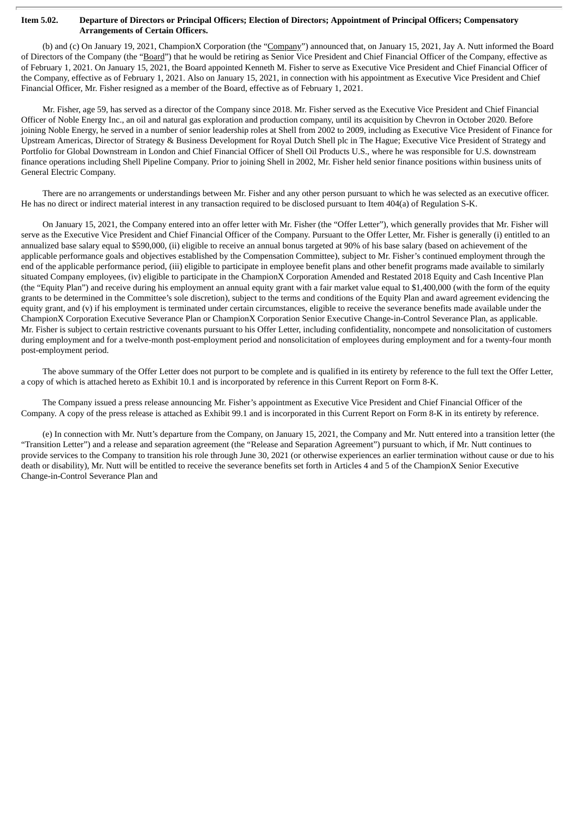#### Item 5.02. Departure of Directors or Principal Officers; Election of Directors; Appointment of Principal Officers; Compensatory **Arrangements of Certain Officers.**

(b) and (c) On January 19, 2021, ChampionX Corporation (the "Company") announced that, on January 15, 2021, Jay A. Nutt informed the Board of Directors of the Company (the "Board") that he would be retiring as Senior Vice President and Chief Financial Officer of the Company, effective as of February 1, 2021. On January 15, 2021, the Board appointed Kenneth M. Fisher to serve as Executive Vice President and Chief Financial Officer of the Company, effective as of February 1, 2021. Also on January 15, 2021, in connection with his appointment as Executive Vice President and Chief Financial Officer, Mr. Fisher resigned as a member of the Board, effective as of February 1, 2021.

Mr. Fisher, age 59, has served as a director of the Company since 2018. Mr. Fisher served as the Executive Vice President and Chief Financial Officer of Noble Energy Inc., an oil and natural gas exploration and production company, until its acquisition by Chevron in October 2020. Before joining Noble Energy, he served in a number of senior leadership roles at Shell from 2002 to 2009, including as Executive Vice President of Finance for Upstream Americas, Director of Strategy & Business Development for Royal Dutch Shell plc in The Hague; Executive Vice President of Strategy and Portfolio for Global Downstream in London and Chief Financial Officer of Shell Oil Products U.S., where he was responsible for U.S. downstream finance operations including Shell Pipeline Company. Prior to joining Shell in 2002, Mr. Fisher held senior finance positions within business units of General Electric Company.

There are no arrangements or understandings between Mr. Fisher and any other person pursuant to which he was selected as an executive officer. He has no direct or indirect material interest in any transaction required to be disclosed pursuant to Item 404(a) of Regulation S-K.

On January 15, 2021, the Company entered into an offer letter with Mr. Fisher (the "Offer Letter"), which generally provides that Mr. Fisher will serve as the Executive Vice President and Chief Financial Officer of the Company. Pursuant to the Offer Letter, Mr. Fisher is generally (i) entitled to an annualized base salary equal to \$590,000, (ii) eligible to receive an annual bonus targeted at 90% of his base salary (based on achievement of the applicable performance goals and objectives established by the Compensation Committee), subject to Mr. Fisher's continued employment through the end of the applicable performance period, (iii) eligible to participate in employee benefit plans and other benefit programs made available to similarly situated Company employees, (iv) eligible to participate in the ChampionX Corporation Amended and Restated 2018 Equity and Cash Incentive Plan (the "Equity Plan") and receive during his employment an annual equity grant with a fair market value equal to \$1,400,000 (with the form of the equity grants to be determined in the Committee's sole discretion), subject to the terms and conditions of the Equity Plan and award agreement evidencing the equity grant, and (v) if his employment is terminated under certain circumstances, eligible to receive the severance benefits made available under the ChampionX Corporation Executive Severance Plan or ChampionX Corporation Senior Executive Change-in-Control Severance Plan, as applicable. Mr. Fisher is subject to certain restrictive covenants pursuant to his Offer Letter, including confidentiality, noncompete and nonsolicitation of customers during employment and for a twelve-month post-employment period and nonsolicitation of employees during employment and for a twenty-four month post-employment period.

The above summary of the Offer Letter does not purport to be complete and is qualified in its entirety by reference to the full text the Offer Letter, a copy of which is attached hereto as Exhibit 10.1 and is incorporated by reference in this Current Report on Form 8-K.

The Company issued a press release announcing Mr. Fisher's appointment as Executive Vice President and Chief Financial Officer of the Company. A copy of the press release is attached as Exhibit 99.1 and is incorporated in this Current Report on Form 8-K in its entirety by reference.

(e) In connection with Mr. Nutt's departure from the Company, on January 15, 2021, the Company and Mr. Nutt entered into a transition letter (the "Transition Letter") and a release and separation agreement (the "Release and Separation Agreement") pursuant to which, if Mr. Nutt continues to provide services to the Company to transition his role through June 30, 2021 (or otherwise experiences an earlier termination without cause or due to his death or disability), Mr. Nutt will be entitled to receive the severance benefits set forth in Articles 4 and 5 of the ChampionX Senior Executive Change-in-Control Severance Plan and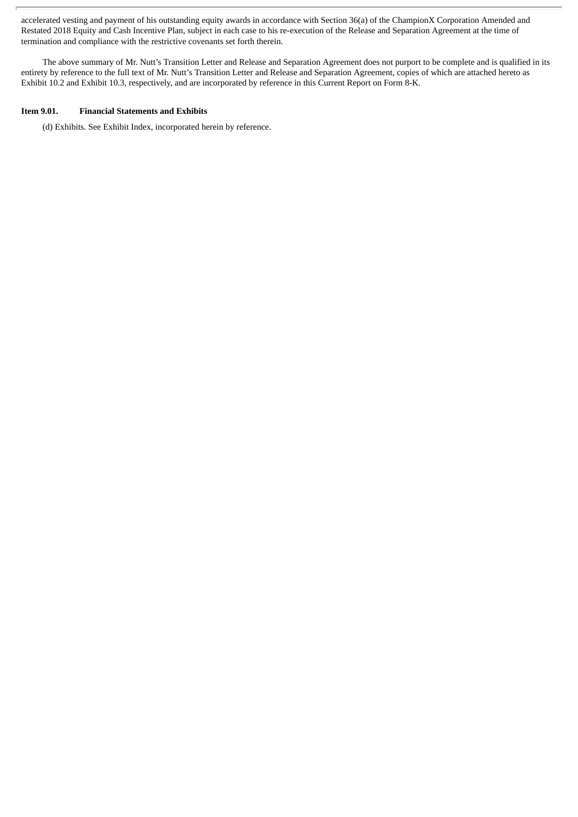accelerated vesting and payment of his outstanding equity awards in accordance with Section 36(a) of the ChampionX Corporation Amended and Restated 2018 Equity and Cash Incentive Plan, subject in each case to his re-execution of the Release and Separation Agreement at the time of termination and compliance with the restrictive covenants set forth therein.

The above summary of Mr. Nutt's Transition Letter and Release and Separation Agreement does not purport to be complete and is qualified in its entirety by reference to the full text of Mr. Nutt's Transition Letter and Release and Separation Agreement, copies of which are attached hereto as Exhibit 10.2 and Exhibit 10.3, respectively, and are incorporated by reference in this Current Report on Form 8-K.

### **Item 9.01. Financial Statements and Exhibits**

(d) Exhibits. See Exhibit Index, incorporated herein by reference.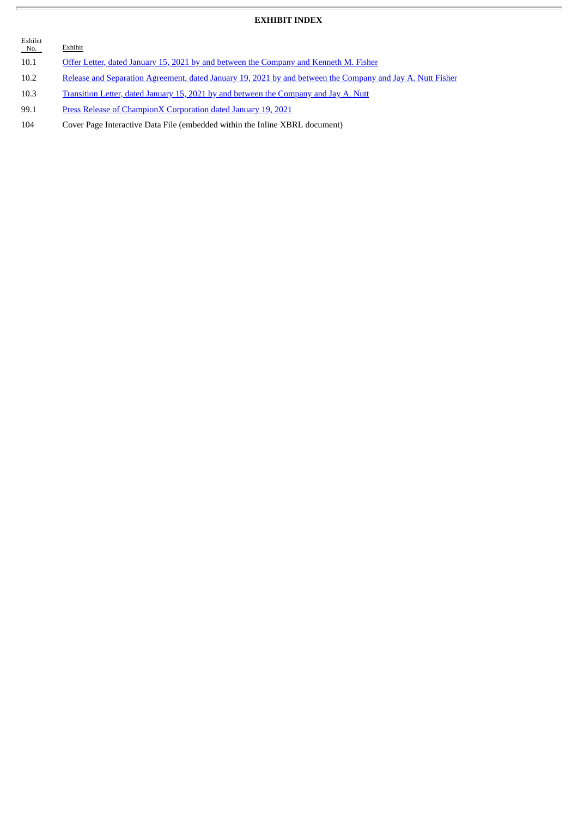# **EXHIBIT INDEX**

| Exhibit<br>No. | Exhibit                                                                                                    |
|----------------|------------------------------------------------------------------------------------------------------------|
| 10.1           | Offer Letter, dated January 15, 2021 by and between the Company and Kenneth M. Fisher                      |
| 10.2           | Release and Separation Agreement, dated January 19, 2021 by and between the Company and Jay A. Nutt Fisher |
| 10.3           | Transition Letter, dated January 15, 2021 by and between the Company and Jay A. Nutt                       |
| 99.1           | Press Release of ChampionX Corporation dated January 19, 2021                                              |

104 Cover Page Interactive Data File (embedded within the Inline XBRL document)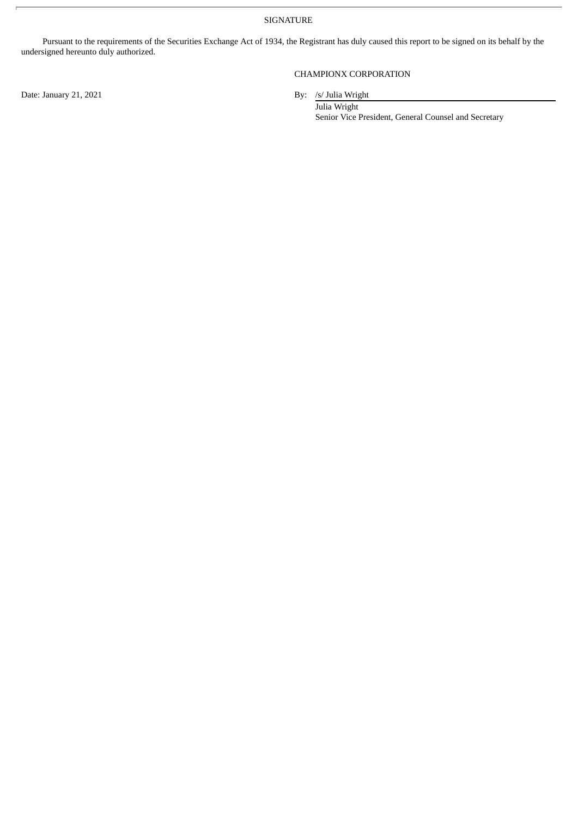SIGNATURE

Pursuant to the requirements of the Securities Exchange Act of 1934, the Registrant has duly caused this report to be signed on its behalf by the undersigned hereunto duly authorized.

Date: January 21, 2021 By: /s/ Julia Wright

# CHAMPIONX CORPORATION

Julia Wright Senior Vice President, General Counsel and Secretary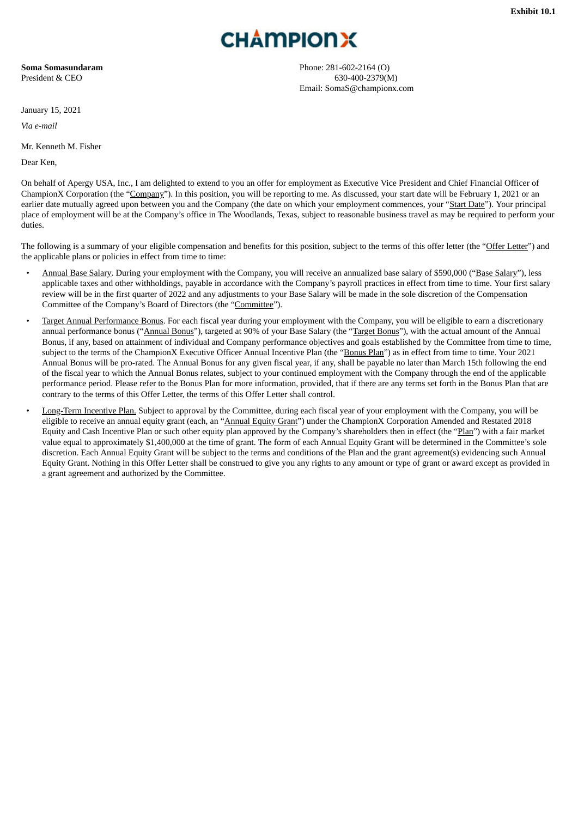# **CHAMPIONX**

<span id="page-5-0"></span>**Soma Somasundaram** President & CEO

January 15, 2021

*Via e-mail*

Mr. Kenneth M. Fisher

Dear Ken,

Phone: 281-602-2164 (O) 630-400-2379(M) Email: SomaS@championx.com

On behalf of Apergy USA, Inc., I am delighted to extend to you an offer for employment as Executive Vice President and Chief Financial Officer of ChampionX Corporation (the "Company"). In this position, you will be reporting to me. As discussed, your start date will be February 1, 2021 or an earlier date mutually agreed upon between you and the Company (the date on which your employment commences, your "Start Date"). Your principal place of employment will be at the Company's office in The Woodlands, Texas, subject to reasonable business travel as may be required to perform your duties.

The following is a summary of your eligible compensation and benefits for this position, subject to the terms of this offer letter (the "Offer Letter") and the applicable plans or policies in effect from time to time:

- Annual Base Salary. During your employment with the Company, you will receive an annualized base salary of \$590,000 ("Base Salary"), less applicable taxes and other withholdings, payable in accordance with the Company's payroll practices in effect from time to time. Your first salary review will be in the first quarter of 2022 and any adjustments to your Base Salary will be made in the sole discretion of the Compensation Committee of the Company's Board of Directors (the "Committee").
- Target Annual Performance Bonus. For each fiscal year during your employment with the Company, you will be eligible to earn a discretionary annual performance bonus ("Annual Bonus"), targeted at 90% of your Base Salary (the "Target Bonus"), with the actual amount of the Annual Bonus, if any, based on attainment of individual and Company performance objectives and goals established by the Committee from time to time, subject to the terms of the ChampionX Executive Officer Annual Incentive Plan (the "Bonus Plan") as in effect from time to time. Your 2021 Annual Bonus will be pro-rated. The Annual Bonus for any given fiscal year, if any, shall be payable no later than March 15th following the end of the fiscal year to which the Annual Bonus relates, subject to your continued employment with the Company through the end of the applicable performance period. Please refer to the Bonus Plan for more information, provided, that if there are any terms set forth in the Bonus Plan that are contrary to the terms of this Offer Letter, the terms of this Offer Letter shall control.
- Long-Term Incentive Plan. Subject to approval by the Committee, during each fiscal year of your employment with the Company, you will be eligible to receive an annual equity grant (each, an "Annual Equity Grant") under the ChampionX Corporation Amended and Restated 2018 Equity and Cash Incentive Plan or such other equity plan approved by the Company's shareholders then in effect (the "Plan") with a fair market value equal to approximately \$1,400,000 at the time of grant. The form of each Annual Equity Grant will be determined in the Committee's sole discretion. Each Annual Equity Grant will be subject to the terms and conditions of the Plan and the grant agreement(s) evidencing such Annual Equity Grant. Nothing in this Offer Letter shall be construed to give you any rights to any amount or type of grant or award except as provided in a grant agreement and authorized by the Committee.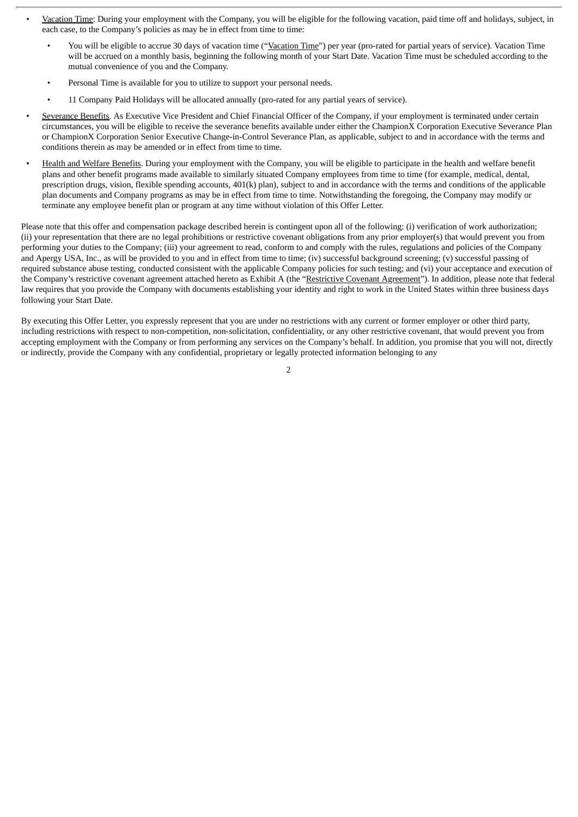- Vacation Time: During your employment with the Company, you will be eligible for the following vacation, paid time off and holidays, subject, in each case, to the Company's policies as may be in effect from time to time:
	- You will be eligible to accrue 30 days of vacation time ("Vacation Time") per year (pro-rated for partial years of service). Vacation Time will be accrued on a monthly basis, beginning the following month of your Start Date. Vacation Time must be scheduled according to the mutual convenience of you and the Company.
	- Personal Time is available for you to utilize to support your personal needs.
	- 11 Company Paid Holidays will be allocated annually (pro-rated for any partial years of service).
- Severance Benefits. As Executive Vice President and Chief Financial Officer of the Company, if your employment is terminated under certain circumstances, you will be eligible to receive the severance benefits available under either the ChampionX Corporation Executive Severance Plan or ChampionX Corporation Senior Executive Change-in-Control Severance Plan, as applicable, subject to and in accordance with the terms and conditions therein as may be amended or in effect from time to time.
- Health and Welfare Benefits. During your employment with the Company, you will be eligible to participate in the health and welfare benefit plans and other benefit programs made available to similarly situated Company employees from time to time (for example, medical, dental, prescription drugs, vision, flexible spending accounts, 401(k) plan), subject to and in accordance with the terms and conditions of the applicable plan documents and Company programs as may be in effect from time to time. Notwithstanding the foregoing, the Company may modify or terminate any employee benefit plan or program at any time without violation of this Offer Letter.

Please note that this offer and compensation package described herein is contingent upon all of the following: (i) verification of work authorization; (ii) your representation that there are no legal prohibitions or restrictive covenant obligations from any prior employer(s) that would prevent you from performing your duties to the Company; (iii) your agreement to read, conform to and comply with the rules, regulations and policies of the Company and Apergy USA, Inc., as will be provided to you and in effect from time to time; (iv) successful background screening; (v) successful passing of required substance abuse testing, conducted consistent with the applicable Company policies for such testing; and (vi) your acceptance and execution of the Company's restrictive covenant agreement attached hereto as Exhibit A (the "Restrictive Covenant Agreement"). In addition, please note that federal law requires that you provide the Company with documents establishing your identity and right to work in the United States within three business days following your Start Date.

By executing this Offer Letter, you expressly represent that you are under no restrictions with any current or former employer or other third party, including restrictions with respect to non-competition, non-solicitation, confidentiality, or any other restrictive covenant, that would prevent you from accepting employment with the Company or from performing any services on the Company's behalf. In addition, you promise that you will not, directly or indirectly, provide the Company with any confidential, proprietary or legally protected information belonging to any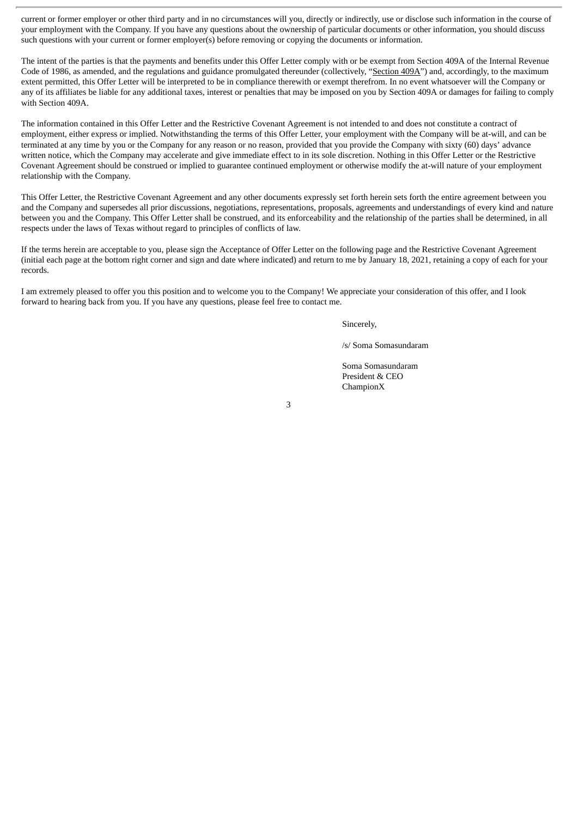current or former employer or other third party and in no circumstances will you, directly or indirectly, use or disclose such information in the course of your employment with the Company. If you have any questions about the ownership of particular documents or other information, you should discuss such questions with your current or former employer(s) before removing or copying the documents or information.

The intent of the parties is that the payments and benefits under this Offer Letter comply with or be exempt from Section 409A of the Internal Revenue Code of 1986, as amended, and the regulations and guidance promulgated thereunder (collectively, "Section 409A") and, accordingly, to the maximum extent permitted, this Offer Letter will be interpreted to be in compliance therewith or exempt therefrom. In no event whatsoever will the Company or any of its affiliates be liable for any additional taxes, interest or penalties that may be imposed on you by Section 409A or damages for failing to comply with Section 409A.

The information contained in this Offer Letter and the Restrictive Covenant Agreement is not intended to and does not constitute a contract of employment, either express or implied. Notwithstanding the terms of this Offer Letter, your employment with the Company will be at-will, and can be terminated at any time by you or the Company for any reason or no reason, provided that you provide the Company with sixty (60) days' advance written notice, which the Company may accelerate and give immediate effect to in its sole discretion. Nothing in this Offer Letter or the Restrictive Covenant Agreement should be construed or implied to guarantee continued employment or otherwise modify the at-will nature of your employment relationship with the Company.

This Offer Letter, the Restrictive Covenant Agreement and any other documents expressly set forth herein sets forth the entire agreement between you and the Company and supersedes all prior discussions, negotiations, representations, proposals, agreements and understandings of every kind and nature between you and the Company. This Offer Letter shall be construed, and its enforceability and the relationship of the parties shall be determined, in all respects under the laws of Texas without regard to principles of conflicts of law.

If the terms herein are acceptable to you, please sign the Acceptance of Offer Letter on the following page and the Restrictive Covenant Agreement (initial each page at the bottom right corner and sign and date where indicated) and return to me by January 18, 2021, retaining a copy of each for your records.

I am extremely pleased to offer you this position and to welcome you to the Company! We appreciate your consideration of this offer, and I look forward to hearing back from you. If you have any questions, please feel free to contact me.

Sincerely,

/s/ Soma Somasundaram

Soma Somasundaram President & CEO ChampionX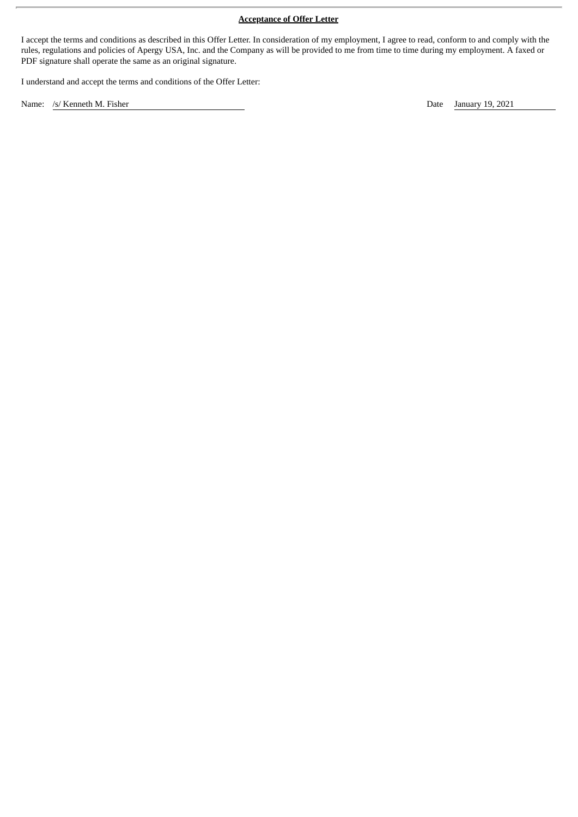# **Acceptance of Offer Letter**

I accept the terms and conditions as described in this Offer Letter. In consideration of my employment, I agree to read, conform to and comply with the rules, regulations and policies of Apergy USA, Inc. and the Company as will be provided to me from time to time during my employment. A faxed or PDF signature shall operate the same as an original signature.

I understand and accept the terms and conditions of the Offer Letter:

Name: /s/ Kenneth M. Fisher Date January 19, 2021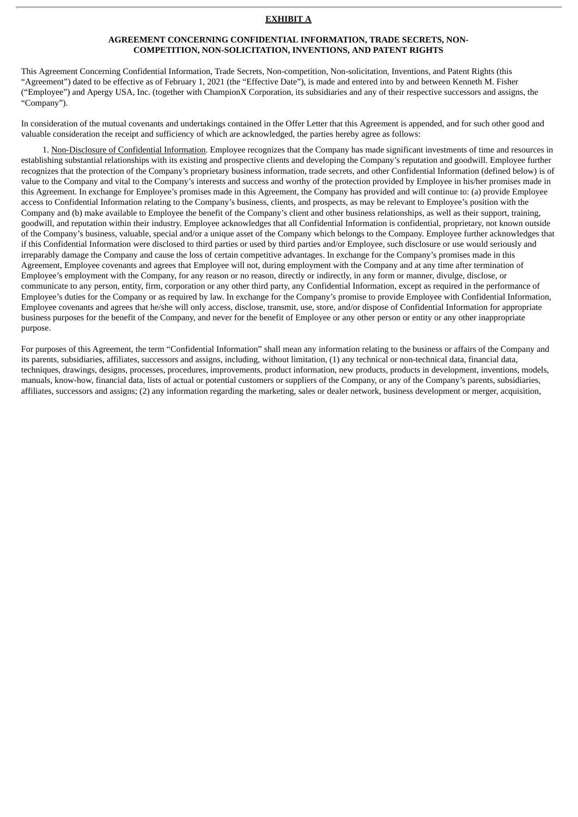#### **EXHIBIT A**

#### **AGREEMENT CONCERNING CONFIDENTIAL INFORMATION, TRADE SECRETS, NON-COMPETITION, NON-SOLICITATION, INVENTIONS, AND PATENT RIGHTS**

This Agreement Concerning Confidential Information, Trade Secrets, Non-competition, Non-solicitation, Inventions, and Patent Rights (this "Agreement") dated to be effective as of February 1, 2021 (the "Effective Date"), is made and entered into by and between Kenneth M. Fisher ("Employee") and Apergy USA, Inc. (together with ChampionX Corporation, its subsidiaries and any of their respective successors and assigns, the "Company").

In consideration of the mutual covenants and undertakings contained in the Offer Letter that this Agreement is appended, and for such other good and valuable consideration the receipt and sufficiency of which are acknowledged, the parties hereby agree as follows:

1. Non-Disclosure of Confidential Information. Employee recognizes that the Company has made significant investments of time and resources in establishing substantial relationships with its existing and prospective clients and developing the Company's reputation and goodwill. Employee further recognizes that the protection of the Company's proprietary business information, trade secrets, and other Confidential Information (defined below) is of value to the Company and vital to the Company's interests and success and worthy of the protection provided by Employee in his/her promises made in this Agreement. In exchange for Employee's promises made in this Agreement, the Company has provided and will continue to: (a) provide Employee access to Confidential Information relating to the Company's business, clients, and prospects, as may be relevant to Employee's position with the Company and (b) make available to Employee the benefit of the Company's client and other business relationships, as well as their support, training, goodwill, and reputation within their industry. Employee acknowledges that all Confidential Information is confidential, proprietary, not known outside of the Company's business, valuable, special and/or a unique asset of the Company which belongs to the Company. Employee further acknowledges that if this Confidential Information were disclosed to third parties or used by third parties and/or Employee, such disclosure or use would seriously and irreparably damage the Company and cause the loss of certain competitive advantages. In exchange for the Company's promises made in this Agreement, Employee covenants and agrees that Employee will not, during employment with the Company and at any time after termination of Employee's employment with the Company, for any reason or no reason, directly or indirectly, in any form or manner, divulge, disclose, or communicate to any person, entity, firm, corporation or any other third party, any Confidential Information, except as required in the performance of Employee's duties for the Company or as required by law. In exchange for the Company's promise to provide Employee with Confidential Information, Employee covenants and agrees that he/she will only access, disclose, transmit, use, store, and/or dispose of Confidential Information for appropriate business purposes for the benefit of the Company, and never for the benefit of Employee or any other person or entity or any other inappropriate purpose.

For purposes of this Agreement, the term "Confidential Information" shall mean any information relating to the business or affairs of the Company and its parents, subsidiaries, affiliates, successors and assigns, including, without limitation, (1) any technical or non-technical data, financial data, techniques, drawings, designs, processes, procedures, improvements, product information, new products, products in development, inventions, models, manuals, know-how, financial data, lists of actual or potential customers or suppliers of the Company, or any of the Company's parents, subsidiaries, affiliates, successors and assigns; (2) any information regarding the marketing, sales or dealer network, business development or merger, acquisition,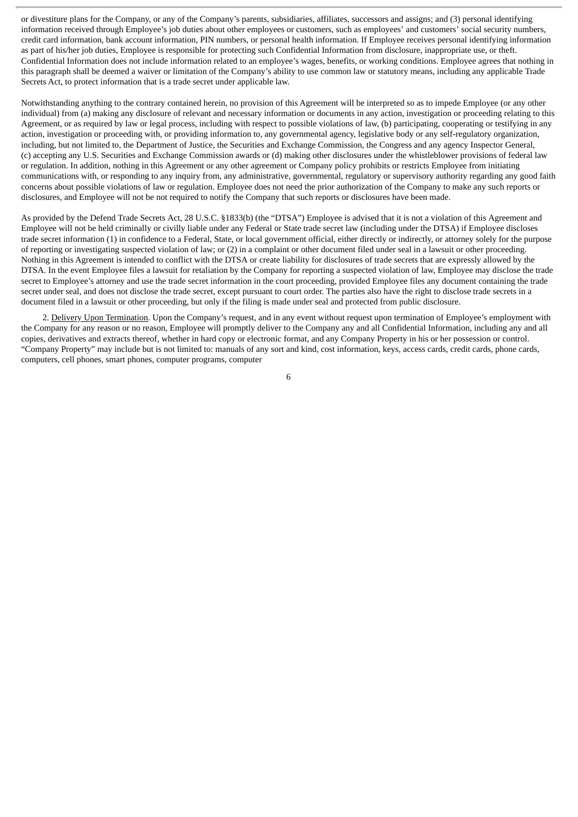or divestiture plans for the Company, or any of the Company's parents, subsidiaries, affiliates, successors and assigns; and (3) personal identifying information received through Employee's job duties about other employees or customers, such as employees' and customers' social security numbers, credit card information, bank account information, PIN numbers, or personal health information. If Employee receives personal identifying information as part of his/her job duties, Employee is responsible for protecting such Confidential Information from disclosure, inappropriate use, or theft. Confidential Information does not include information related to an employee's wages, benefits, or working conditions. Employee agrees that nothing in this paragraph shall be deemed a waiver or limitation of the Company's ability to use common law or statutory means, including any applicable Trade Secrets Act, to protect information that is a trade secret under applicable law.

Notwithstanding anything to the contrary contained herein, no provision of this Agreement will be interpreted so as to impede Employee (or any other individual) from (a) making any disclosure of relevant and necessary information or documents in any action, investigation or proceeding relating to this Agreement, or as required by law or legal process, including with respect to possible violations of law, (b) participating, cooperating or testifying in any action, investigation or proceeding with, or providing information to, any governmental agency, legislative body or any self-regulatory organization, including, but not limited to, the Department of Justice, the Securities and Exchange Commission, the Congress and any agency Inspector General, (c) accepting any U.S. Securities and Exchange Commission awards or (d) making other disclosures under the whistleblower provisions of federal law or regulation. In addition, nothing in this Agreement or any other agreement or Company policy prohibits or restricts Employee from initiating communications with, or responding to any inquiry from, any administrative, governmental, regulatory or supervisory authority regarding any good faith concerns about possible violations of law or regulation. Employee does not need the prior authorization of the Company to make any such reports or disclosures, and Employee will not be not required to notify the Company that such reports or disclosures have been made.

As provided by the Defend Trade Secrets Act, 28 U.S.C. §1833(b) (the "DTSA") Employee is advised that it is not a violation of this Agreement and Employee will not be held criminally or civilly liable under any Federal or State trade secret law (including under the DTSA) if Employee discloses trade secret information (1) in confidence to a Federal, State, or local government official, either directly or indirectly, or attorney solely for the purpose of reporting or investigating suspected violation of law; or (2) in a complaint or other document filed under seal in a lawsuit or other proceeding. Nothing in this Agreement is intended to conflict with the DTSA or create liability for disclosures of trade secrets that are expressly allowed by the DTSA. In the event Employee files a lawsuit for retaliation by the Company for reporting a suspected violation of law, Employee may disclose the trade secret to Employee's attorney and use the trade secret information in the court proceeding, provided Employee files any document containing the trade secret under seal, and does not disclose the trade secret, except pursuant to court order. The parties also have the right to disclose trade secrets in a document filed in a lawsuit or other proceeding, but only if the filing is made under seal and protected from public disclosure.

2. Delivery Upon Termination. Upon the Company's request, and in any event without request upon termination of Employee's employment with the Company for any reason or no reason, Employee will promptly deliver to the Company any and all Confidential Information, including any and all copies, derivatives and extracts thereof, whether in hard copy or electronic format, and any Company Property in his or her possession or control. "Company Property" may include but is not limited to: manuals of any sort and kind, cost information, keys, access cards, credit cards, phone cards, computers, cell phones, smart phones, computer programs, computer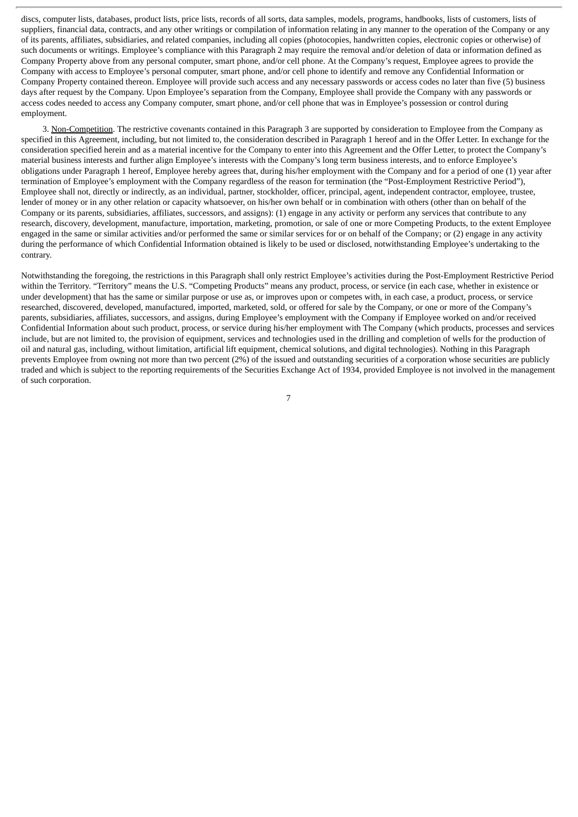discs, computer lists, databases, product lists, price lists, records of all sorts, data samples, models, programs, handbooks, lists of customers, lists of suppliers, financial data, contracts, and any other writings or compilation of information relating in any manner to the operation of the Company or any of its parents, affiliates, subsidiaries, and related companies, including all copies (photocopies, handwritten copies, electronic copies or otherwise) of such documents or writings. Employee's compliance with this Paragraph 2 may require the removal and/or deletion of data or information defined as Company Property above from any personal computer, smart phone, and/or cell phone. At the Company's request, Employee agrees to provide the Company with access to Employee's personal computer, smart phone, and/or cell phone to identify and remove any Confidential Information or Company Property contained thereon. Employee will provide such access and any necessary passwords or access codes no later than five (5) business days after request by the Company. Upon Employee's separation from the Company, Employee shall provide the Company with any passwords or access codes needed to access any Company computer, smart phone, and/or cell phone that was in Employee's possession or control during employment.

3. Non-Competition. The restrictive covenants contained in this Paragraph 3 are supported by consideration to Employee from the Company as specified in this Agreement, including, but not limited to, the consideration described in Paragraph 1 hereof and in the Offer Letter. In exchange for the consideration specified herein and as a material incentive for the Company to enter into this Agreement and the Offer Letter, to protect the Company's material business interests and further align Employee's interests with the Company's long term business interests, and to enforce Employee's obligations under Paragraph 1 hereof, Employee hereby agrees that, during his/her employment with the Company and for a period of one (1) year after termination of Employee's employment with the Company regardless of the reason for termination (the "Post-Employment Restrictive Period"), Employee shall not, directly or indirectly, as an individual, partner, stockholder, officer, principal, agent, independent contractor, employee, trustee, lender of money or in any other relation or capacity whatsoever, on his/her own behalf or in combination with others (other than on behalf of the Company or its parents, subsidiaries, affiliates, successors, and assigns): (1) engage in any activity or perform any services that contribute to any research, discovery, development, manufacture, importation, marketing, promotion, or sale of one or more Competing Products, to the extent Employee engaged in the same or similar activities and/or performed the same or similar services for or on behalf of the Company; or (2) engage in any activity during the performance of which Confidential Information obtained is likely to be used or disclosed, notwithstanding Employee's undertaking to the contrary.

Notwithstanding the foregoing, the restrictions in this Paragraph shall only restrict Employee's activities during the Post-Employment Restrictive Period within the Territory. "Territory" means the U.S. "Competing Products" means any product, process, or service (in each case, whether in existence or under development) that has the same or similar purpose or use as, or improves upon or competes with, in each case, a product, process, or service researched, discovered, developed, manufactured, imported, marketed, sold, or offered for sale by the Company, or one or more of the Company's parents, subsidiaries, affiliates, successors, and assigns, during Employee's employment with the Company if Employee worked on and/or received Confidential Information about such product, process, or service during his/her employment with The Company (which products, processes and services include, but are not limited to, the provision of equipment, services and technologies used in the drilling and completion of wells for the production of oil and natural gas, including, without limitation, artificial lift equipment, chemical solutions, and digital technologies). Nothing in this Paragraph prevents Employee from owning not more than two percent (2%) of the issued and outstanding securities of a corporation whose securities are publicly traded and which is subject to the reporting requirements of the Securities Exchange Act of 1934, provided Employee is not involved in the management of such corporation.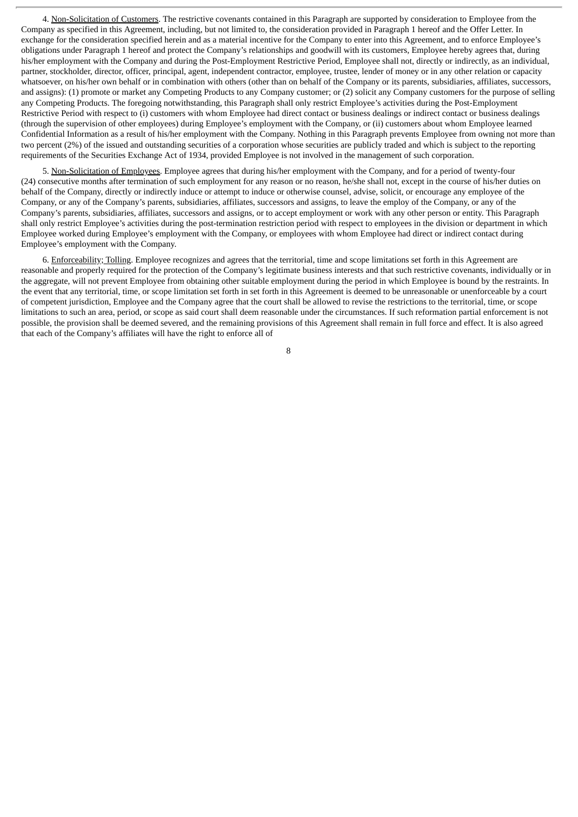4. Non-Solicitation of Customers. The restrictive covenants contained in this Paragraph are supported by consideration to Employee from the Company as specified in this Agreement, including, but not limited to, the consideration provided in Paragraph 1 hereof and the Offer Letter. In exchange for the consideration specified herein and as a material incentive for the Company to enter into this Agreement, and to enforce Employee's obligations under Paragraph 1 hereof and protect the Company's relationships and goodwill with its customers, Employee hereby agrees that, during his/her employment with the Company and during the Post-Employment Restrictive Period, Employee shall not, directly or indirectly, as an individual, partner, stockholder, director, officer, principal, agent, independent contractor, employee, trustee, lender of money or in any other relation or capacity whatsoever, on his/her own behalf or in combination with others (other than on behalf of the Company or its parents, subsidiaries, affiliates, successors, and assigns): (1) promote or market any Competing Products to any Company customer; or (2) solicit any Company customers for the purpose of selling any Competing Products. The foregoing notwithstanding, this Paragraph shall only restrict Employee's activities during the Post-Employment Restrictive Period with respect to (i) customers with whom Employee had direct contact or business dealings or indirect contact or business dealings (through the supervision of other employees) during Employee's employment with the Company, or (ii) customers about whom Employee learned Confidential Information as a result of his/her employment with the Company. Nothing in this Paragraph prevents Employee from owning not more than two percent (2%) of the issued and outstanding securities of a corporation whose securities are publicly traded and which is subject to the reporting requirements of the Securities Exchange Act of 1934, provided Employee is not involved in the management of such corporation.

5. Non-Solicitation of Employees. Employee agrees that during his/her employment with the Company, and for a period of twenty-four (24) consecutive months after termination of such employment for any reason or no reason, he/she shall not, except in the course of his/her duties on behalf of the Company, directly or indirectly induce or attempt to induce or otherwise counsel, advise, solicit, or encourage any employee of the Company, or any of the Company's parents, subsidiaries, affiliates, successors and assigns, to leave the employ of the Company, or any of the Company's parents, subsidiaries, affiliates, successors and assigns, or to accept employment or work with any other person or entity. This Paragraph shall only restrict Employee's activities during the post-termination restriction period with respect to employees in the division or department in which Employee worked during Employee's employment with the Company, or employees with whom Employee had direct or indirect contact during Employee's employment with the Company.

6. Enforceability; Tolling. Employee recognizes and agrees that the territorial, time and scope limitations set forth in this Agreement are reasonable and properly required for the protection of the Company's legitimate business interests and that such restrictive covenants, individually or in the aggregate, will not prevent Employee from obtaining other suitable employment during the period in which Employee is bound by the restraints. In the event that any territorial, time, or scope limitation set forth in set forth in this Agreement is deemed to be unreasonable or unenforceable by a court of competent jurisdiction, Employee and the Company agree that the court shall be allowed to revise the restrictions to the territorial, time, or scope limitations to such an area, period, or scope as said court shall deem reasonable under the circumstances. If such reformation partial enforcement is not possible, the provision shall be deemed severed, and the remaining provisions of this Agreement shall remain in full force and effect. It is also agreed that each of the Company's affiliates will have the right to enforce all of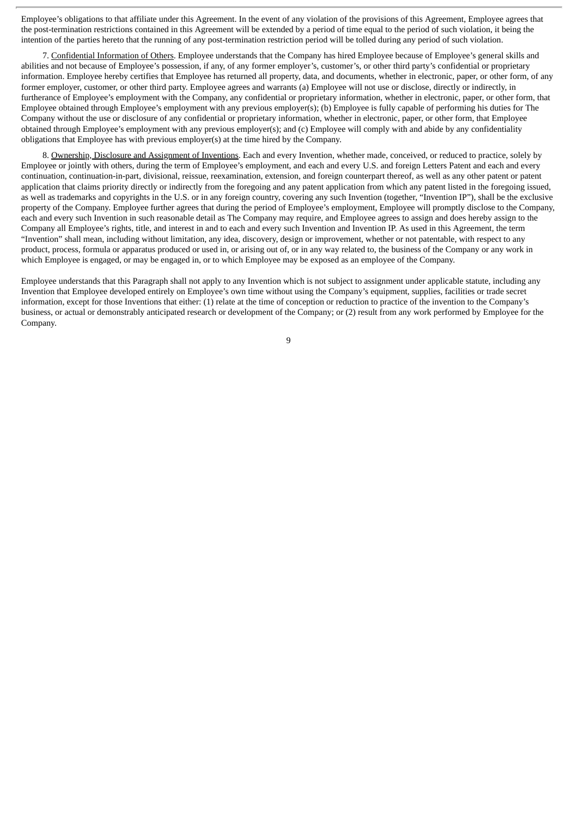Employee's obligations to that affiliate under this Agreement. In the event of any violation of the provisions of this Agreement, Employee agrees that the post-termination restrictions contained in this Agreement will be extended by a period of time equal to the period of such violation, it being the intention of the parties hereto that the running of any post-termination restriction period will be tolled during any period of such violation.

7. Confidential Information of Others. Employee understands that the Company has hired Employee because of Employee's general skills and abilities and not because of Employee's possession, if any, of any former employer's, customer's, or other third party's confidential or proprietary information. Employee hereby certifies that Employee has returned all property, data, and documents, whether in electronic, paper, or other form, of any former employer, customer, or other third party. Employee agrees and warrants (a) Employee will not use or disclose, directly or indirectly, in furtherance of Employee's employment with the Company, any confidential or proprietary information, whether in electronic, paper, or other form, that Employee obtained through Employee's employment with any previous employer(s); (b) Employee is fully capable of performing his duties for The Company without the use or disclosure of any confidential or proprietary information, whether in electronic, paper, or other form, that Employee obtained through Employee's employment with any previous employer(s); and (c) Employee will comply with and abide by any confidentiality obligations that Employee has with previous employer(s) at the time hired by the Company.

8. Ownership, Disclosure and Assignment of Inventions. Each and every Invention, whether made, conceived, or reduced to practice, solely by Employee or jointly with others, during the term of Employee's employment, and each and every U.S. and foreign Letters Patent and each and every continuation, continuation-in-part, divisional, reissue, reexamination, extension, and foreign counterpart thereof, as well as any other patent or patent application that claims priority directly or indirectly from the foregoing and any patent application from which any patent listed in the foregoing issued, as well as trademarks and copyrights in the U.S. or in any foreign country, covering any such Invention (together, "Invention IP"), shall be the exclusive property of the Company. Employee further agrees that during the period of Employee's employment, Employee will promptly disclose to the Company, each and every such Invention in such reasonable detail as The Company may require, and Employee agrees to assign and does hereby assign to the Company all Employee's rights, title, and interest in and to each and every such Invention and Invention IP. As used in this Agreement, the term "Invention" shall mean, including without limitation, any idea, discovery, design or improvement, whether or not patentable, with respect to any product, process, formula or apparatus produced or used in, or arising out of, or in any way related to, the business of the Company or any work in which Employee is engaged, or may be engaged in, or to which Employee may be exposed as an employee of the Company.

Employee understands that this Paragraph shall not apply to any Invention which is not subject to assignment under applicable statute, including any Invention that Employee developed entirely on Employee's own time without using the Company's equipment, supplies, facilities or trade secret information, except for those Inventions that either: (1) relate at the time of conception or reduction to practice of the invention to the Company's business, or actual or demonstrably anticipated research or development of the Company; or (2) result from any work performed by Employee for the Company.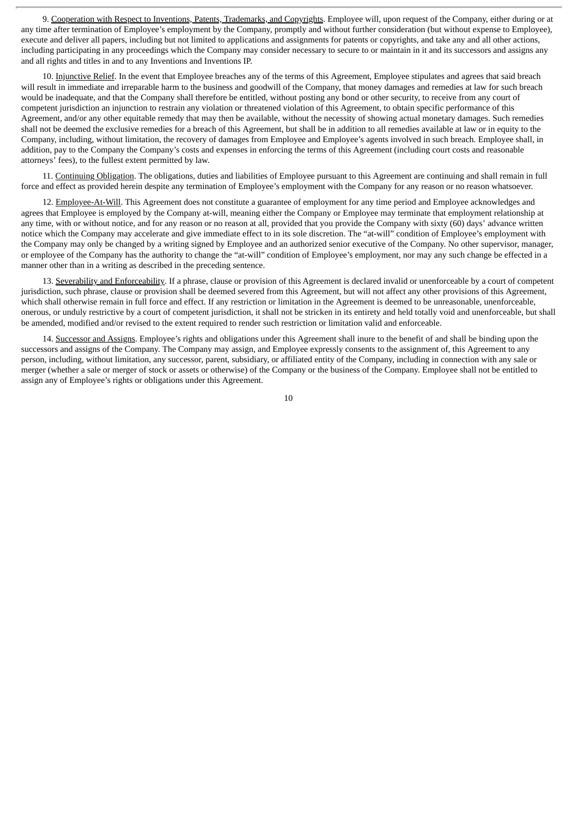9. Cooperation with Respect to Inventions, Patents, Trademarks, and Copyrights. Employee will, upon request of the Company, either during or at any time after termination of Employee's employment by the Company, promptly and without further consideration (but without expense to Employee), execute and deliver all papers, including but not limited to applications and assignments for patents or copyrights, and take any and all other actions, including participating in any proceedings which the Company may consider necessary to secure to or maintain in it and its successors and assigns any and all rights and titles in and to any Inventions and Inventions IP.

10. Injunctive Relief. In the event that Employee breaches any of the terms of this Agreement, Employee stipulates and agrees that said breach will result in immediate and irreparable harm to the business and goodwill of the Company, that money damages and remedies at law for such breach would be inadequate, and that the Company shall therefore be entitled, without posting any bond or other security, to receive from any court of competent jurisdiction an injunction to restrain any violation or threatened violation of this Agreement, to obtain specific performance of this Agreement, and/or any other equitable remedy that may then be available, without the necessity of showing actual monetary damages. Such remedies shall not be deemed the exclusive remedies for a breach of this Agreement, but shall be in addition to all remedies available at law or in equity to the Company, including, without limitation, the recovery of damages from Employee and Employee's agents involved in such breach. Employee shall, in addition, pay to the Company the Company's costs and expenses in enforcing the terms of this Agreement (including court costs and reasonable attorneys' fees), to the fullest extent permitted by law.

11. Continuing Obligation. The obligations, duties and liabilities of Employee pursuant to this Agreement are continuing and shall remain in full force and effect as provided herein despite any termination of Employee's employment with the Company for any reason or no reason whatsoever.

12. Employee-At-Will. This Agreement does not constitute a guarantee of employment for any time period and Employee acknowledges and agrees that Employee is employed by the Company at-will, meaning either the Company or Employee may terminate that employment relationship at any time, with or without notice, and for any reason or no reason at all, provided that you provide the Company with sixty (60) days' advance written notice which the Company may accelerate and give immediate effect to in its sole discretion. The "at-will" condition of Employee's employment with the Company may only be changed by a writing signed by Employee and an authorized senior executive of the Company. No other supervisor, manager, or employee of the Company has the authority to change the "at-will" condition of Employee's employment, nor may any such change be effected in a manner other than in a writing as described in the preceding sentence.

13. Severability and Enforceability. If a phrase, clause or provision of this Agreement is declared invalid or unenforceable by a court of competent jurisdiction, such phrase, clause or provision shall be deemed severed from this Agreement, but will not affect any other provisions of this Agreement, which shall otherwise remain in full force and effect. If any restriction or limitation in the Agreement is deemed to be unreasonable, unenforceable, onerous, or unduly restrictive by a court of competent jurisdiction, it shall not be stricken in its entirety and held totally void and unenforceable, but shall be amended, modified and/or revised to the extent required to render such restriction or limitation valid and enforceable.

14. Successor and Assigns. Employee's rights and obligations under this Agreement shall inure to the benefit of and shall be binding upon the successors and assigns of the Company. The Company may assign, and Employee expressly consents to the assignment of, this Agreement to any person, including, without limitation, any successor, parent, subsidiary, or affiliated entity of the Company, including in connection with any sale or merger (whether a sale or merger of stock or assets or otherwise) of the Company or the business of the Company. Employee shall not be entitled to assign any of Employee's rights or obligations under this Agreement.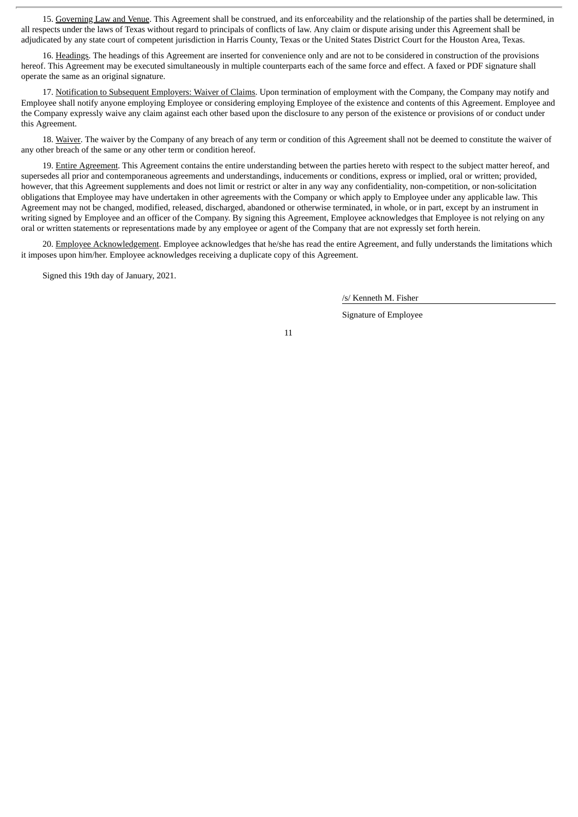15. Governing Law and Venue. This Agreement shall be construed, and its enforceability and the relationship of the parties shall be determined, in all respects under the laws of Texas without regard to principals of conflicts of law. Any claim or dispute arising under this Agreement shall be adjudicated by any state court of competent jurisdiction in Harris County, Texas or the United States District Court for the Houston Area, Texas.

16. Headings. The headings of this Agreement are inserted for convenience only and are not to be considered in construction of the provisions hereof. This Agreement may be executed simultaneously in multiple counterparts each of the same force and effect. A faxed or PDF signature shall operate the same as an original signature.

17. Notification to Subsequent Employers: Waiver of Claims. Upon termination of employment with the Company, the Company may notify and Employee shall notify anyone employing Employee or considering employing Employee of the existence and contents of this Agreement. Employee and the Company expressly waive any claim against each other based upon the disclosure to any person of the existence or provisions of or conduct under this Agreement.

18. Waiver. The waiver by the Company of any breach of any term or condition of this Agreement shall not be deemed to constitute the waiver of any other breach of the same or any other term or condition hereof.

19. Entire Agreement. This Agreement contains the entire understanding between the parties hereto with respect to the subject matter hereof, and supersedes all prior and contemporaneous agreements and understandings, inducements or conditions, express or implied, oral or written; provided, however, that this Agreement supplements and does not limit or restrict or alter in any way any confidentiality, non-competition, or non-solicitation obligations that Employee may have undertaken in other agreements with the Company or which apply to Employee under any applicable law. This Agreement may not be changed, modified, released, discharged, abandoned or otherwise terminated, in whole, or in part, except by an instrument in writing signed by Employee and an officer of the Company. By signing this Agreement, Employee acknowledges that Employee is not relying on any oral or written statements or representations made by any employee or agent of the Company that are not expressly set forth herein.

20. Employee Acknowledgement. Employee acknowledges that he/she has read the entire Agreement, and fully understands the limitations which it imposes upon him/her. Employee acknowledges receiving a duplicate copy of this Agreement.

Signed this 19th day of January, 2021.

/s/ Kenneth M. Fisher

Signature of Employee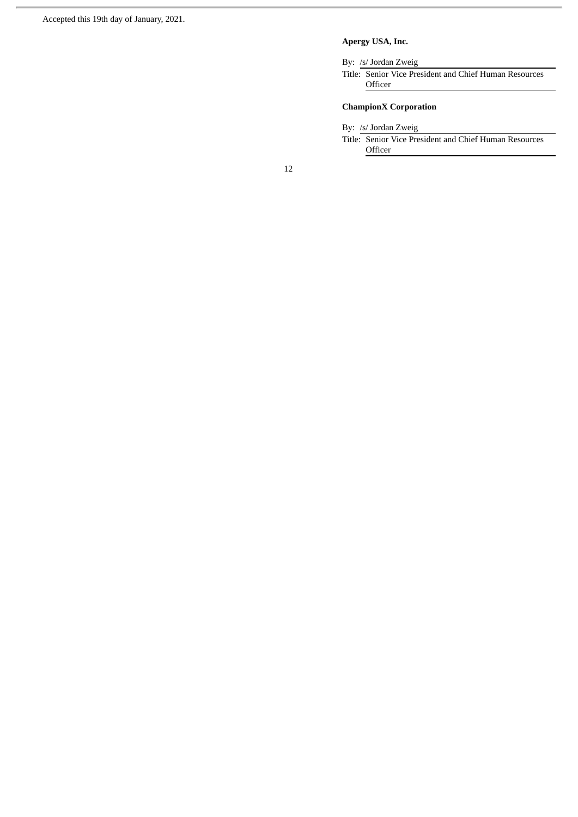# **Apergy USA, Inc.**

By: /s/ Jordan Zweig

Title: Senior Vice President and Chief Human Resources **Officer** 

# **ChampionX Corporation**

By: /s/ Jordan Zweig

Title: Senior Vice President and Chief Human Resources Officer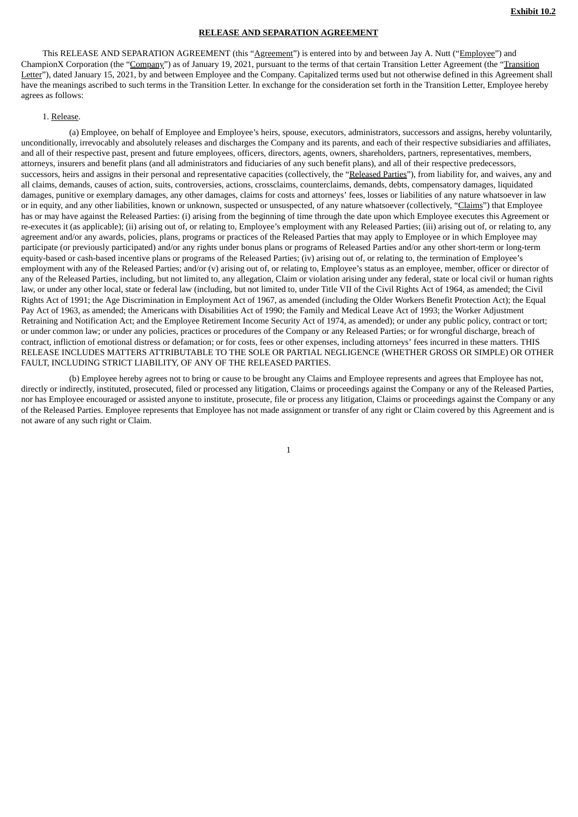#### **RELEASE AND SEPARATION AGREEMENT**

<span id="page-17-0"></span>This RELEASE AND SEPARATION AGREEMENT (this "Agreement") is entered into by and between Jay A. Nutt ("Employee") and ChampionX Corporation (the "Company") as of January 19, 2021, pursuant to the terms of that certain Transition Letter Agreement (the "Transition Letter"), dated January 15, 2021, by and between Employee and the Company. Capitalized terms used but not otherwise defined in this Agreement shall have the meanings ascribed to such terms in the Transition Letter. In exchange for the consideration set forth in the Transition Letter, Employee hereby agrees as follows:

#### 1. Release.

(a) Employee, on behalf of Employee and Employee's heirs, spouse, executors, administrators, successors and assigns, hereby voluntarily, unconditionally, irrevocably and absolutely releases and discharges the Company and its parents, and each of their respective subsidiaries and affiliates, and all of their respective past, present and future employees, officers, directors, agents, owners, shareholders, partners, representatives, members, attorneys, insurers and benefit plans (and all administrators and fiduciaries of any such benefit plans), and all of their respective predecessors, successors, heirs and assigns in their personal and representative capacities (collectively, the "Released Parties"), from liability for, and waives, any and all claims, demands, causes of action, suits, controversies, actions, crossclaims, counterclaims, demands, debts, compensatory damages, liquidated damages, punitive or exemplary damages, any other damages, claims for costs and attorneys' fees, losses or liabilities of any nature whatsoever in law or in equity, and any other liabilities, known or unknown, suspected or unsuspected, of any nature whatsoever (collectively, "Claims") that Employee has or may have against the Released Parties: (i) arising from the beginning of time through the date upon which Employee executes this Agreement or re-executes it (as applicable); (ii) arising out of, or relating to, Employee's employment with any Released Parties; (iii) arising out of, or relating to, any agreement and/or any awards, policies, plans, programs or practices of the Released Parties that may apply to Employee or in which Employee may participate (or previously participated) and/or any rights under bonus plans or programs of Released Parties and/or any other short-term or long-term equity-based or cash-based incentive plans or programs of the Released Parties; (iv) arising out of, or relating to, the termination of Employee's employment with any of the Released Parties; and/or (v) arising out of, or relating to, Employee's status as an employee, member, officer or director of any of the Released Parties, including, but not limited to, any allegation, Claim or violation arising under any federal, state or local civil or human rights law, or under any other local, state or federal law (including, but not limited to, under Title VII of the Civil Rights Act of 1964, as amended; the Civil Rights Act of 1991; the Age Discrimination in Employment Act of 1967, as amended (including the Older Workers Benefit Protection Act); the Equal Pay Act of 1963, as amended; the Americans with Disabilities Act of 1990; the Family and Medical Leave Act of 1993; the Worker Adjustment Retraining and Notification Act; and the Employee Retirement Income Security Act of 1974, as amended); or under any public policy, contract or tort; or under common law; or under any policies, practices or procedures of the Company or any Released Parties; or for wrongful discharge, breach of contract, infliction of emotional distress or defamation; or for costs, fees or other expenses, including attorneys' fees incurred in these matters. THIS RELEASE INCLUDES MATTERS ATTRIBUTABLE TO THE SOLE OR PARTIAL NEGLIGENCE (WHETHER GROSS OR SIMPLE) OR OTHER FAULT, INCLUDING STRICT LIABILITY, OF ANY OF THE RELEASED PARTIES.

(b) Employee hereby agrees not to bring or cause to be brought any Claims and Employee represents and agrees that Employee has not, directly or indirectly, instituted, prosecuted, filed or processed any litigation, Claims or proceedings against the Company or any of the Released Parties, nor has Employee encouraged or assisted anyone to institute, prosecute, file or process any litigation, Claims or proceedings against the Company or any of the Released Parties. Employee represents that Employee has not made assignment or transfer of any right or Claim covered by this Agreement and is not aware of any such right or Claim.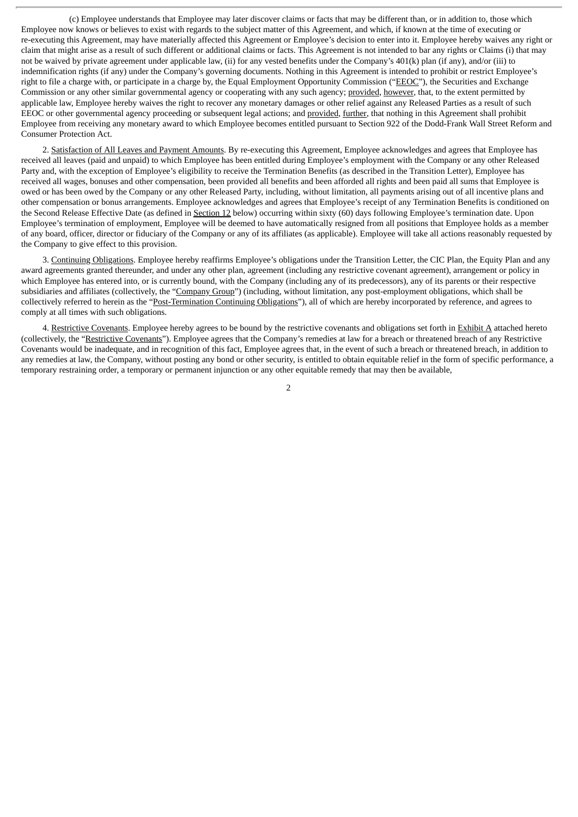(c) Employee understands that Employee may later discover claims or facts that may be different than, or in addition to, those which Employee now knows or believes to exist with regards to the subject matter of this Agreement, and which, if known at the time of executing or re-executing this Agreement, may have materially affected this Agreement or Employee's decision to enter into it. Employee hereby waives any right or claim that might arise as a result of such different or additional claims or facts. This Agreement is not intended to bar any rights or Claims (i) that may not be waived by private agreement under applicable law, (ii) for any vested benefits under the Company's 401(k) plan (if any), and/or (iii) to indemnification rights (if any) under the Company's governing documents. Nothing in this Agreement is intended to prohibit or restrict Employee's right to file a charge with, or participate in a charge by, the Equal Employment Opportunity Commission ("EEOC"), the Securities and Exchange Commission or any other similar governmental agency or cooperating with any such agency; provided, however, that, to the extent permitted by applicable law, Employee hereby waives the right to recover any monetary damages or other relief against any Released Parties as a result of such EEOC or other governmental agency proceeding or subsequent legal actions; and provided, further, that nothing in this Agreement shall prohibit Employee from receiving any monetary award to which Employee becomes entitled pursuant to Section 922 of the Dodd-Frank Wall Street Reform and Consumer Protection Act.

2. Satisfaction of All Leaves and Payment Amounts. By re-executing this Agreement, Employee acknowledges and agrees that Employee has received all leaves (paid and unpaid) to which Employee has been entitled during Employee's employment with the Company or any other Released Party and, with the exception of Employee's eligibility to receive the Termination Benefits (as described in the Transition Letter), Employee has received all wages, bonuses and other compensation, been provided all benefits and been afforded all rights and been paid all sums that Employee is owed or has been owed by the Company or any other Released Party, including, without limitation, all payments arising out of all incentive plans and other compensation or bonus arrangements. Employee acknowledges and agrees that Employee's receipt of any Termination Benefits is conditioned on the Second Release Effective Date (as defined in Section 12 below) occurring within sixty (60) days following Employee's termination date. Upon Employee's termination of employment, Employee will be deemed to have automatically resigned from all positions that Employee holds as a member of any board, officer, director or fiduciary of the Company or any of its affiliates (as applicable). Employee will take all actions reasonably requested by the Company to give effect to this provision.

3. Continuing Obligations. Employee hereby reaffirms Employee's obligations under the Transition Letter, the CIC Plan, the Equity Plan and any award agreements granted thereunder, and under any other plan, agreement (including any restrictive covenant agreement), arrangement or policy in which Employee has entered into, or is currently bound, with the Company (including any of its predecessors), any of its parents or their respective subsidiaries and affiliates (collectively, the "Company Group") (including, without limitation, any post-employment obligations, which shall be collectively referred to herein as the "Post-Termination Continuing Obligations"), all of which are hereby incorporated by reference, and agrees to comply at all times with such obligations.

4. Restrictive Covenants. Employee hereby agrees to be bound by the restrictive covenants and obligations set forth in Exhibit A attached hereto (collectively, the "Restrictive Covenants"). Employee agrees that the Company's remedies at law for a breach or threatened breach of any Restrictive Covenants would be inadequate, and in recognition of this fact, Employee agrees that, in the event of such a breach or threatened breach, in addition to any remedies at law, the Company, without posting any bond or other security, is entitled to obtain equitable relief in the form of specific performance, a temporary restraining order, a temporary or permanent injunction or any other equitable remedy that may then be available,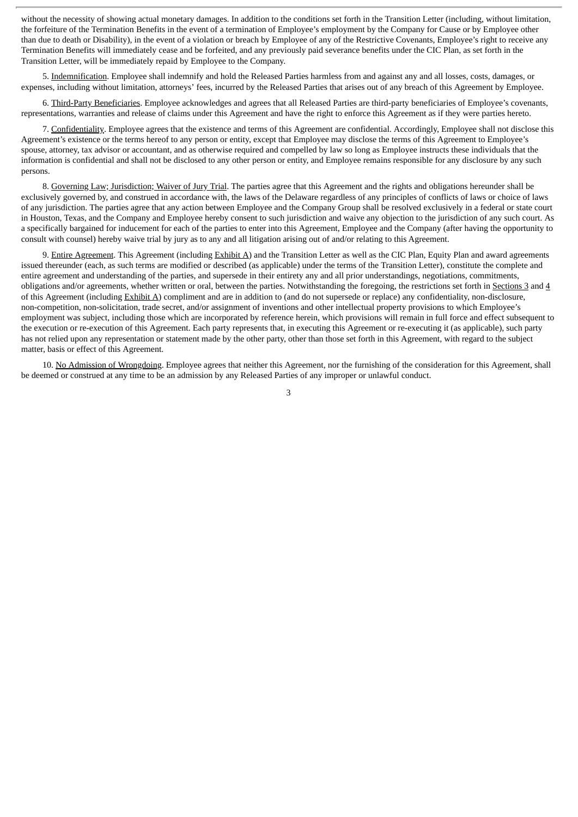without the necessity of showing actual monetary damages. In addition to the conditions set forth in the Transition Letter (including, without limitation, the forfeiture of the Termination Benefits in the event of a termination of Employee's employment by the Company for Cause or by Employee other than due to death or Disability), in the event of a violation or breach by Employee of any of the Restrictive Covenants, Employee's right to receive any Termination Benefits will immediately cease and be forfeited, and any previously paid severance benefits under the CIC Plan, as set forth in the Transition Letter, will be immediately repaid by Employee to the Company.

5. Indemnification. Employee shall indemnify and hold the Released Parties harmless from and against any and all losses, costs, damages, or expenses, including without limitation, attorneys' fees, incurred by the Released Parties that arises out of any breach of this Agreement by Employee.

6. Third-Party Beneficiaries. Employee acknowledges and agrees that all Released Parties are third-party beneficiaries of Employee's covenants, representations, warranties and release of claims under this Agreement and have the right to enforce this Agreement as if they were parties hereto.

7. Confidentiality. Employee agrees that the existence and terms of this Agreement are confidential. Accordingly, Employee shall not disclose this Agreement's existence or the terms hereof to any person or entity, except that Employee may disclose the terms of this Agreement to Employee's spouse, attorney, tax advisor or accountant, and as otherwise required and compelled by law so long as Employee instructs these individuals that the information is confidential and shall not be disclosed to any other person or entity, and Employee remains responsible for any disclosure by any such persons.

8. Governing Law; Jurisdiction; Waiver of Jury Trial. The parties agree that this Agreement and the rights and obligations hereunder shall be exclusively governed by, and construed in accordance with, the laws of the Delaware regardless of any principles of conflicts of laws or choice of laws of any jurisdiction. The parties agree that any action between Employee and the Company Group shall be resolved exclusively in a federal or state court in Houston, Texas, and the Company and Employee hereby consent to such jurisdiction and waive any objection to the jurisdiction of any such court. As a specifically bargained for inducement for each of the parties to enter into this Agreement, Employee and the Company (after having the opportunity to consult with counsel) hereby waive trial by jury as to any and all litigation arising out of and/or relating to this Agreement.

9. Entire Agreement. This Agreement (including Exhibit A) and the Transition Letter as well as the CIC Plan, Equity Plan and award agreements issued thereunder (each, as such terms are modified or described (as applicable) under the terms of the Transition Letter), constitute the complete and entire agreement and understanding of the parties, and supersede in their entirety any and all prior understandings, negotiations, commitments, obligations and/or agreements, whether written or oral, between the parties. Notwithstanding the foregoing, the restrictions set forth in Sections 3 and 4 of this Agreement (including Exhibit A) compliment and are in addition to (and do not supersede or replace) any confidentiality, non-disclosure, non-competition, non-solicitation, trade secret, and/or assignment of inventions and other intellectual property provisions to which Employee's employment was subject, including those which are incorporated by reference herein, which provisions will remain in full force and effect subsequent to the execution or re-execution of this Agreement. Each party represents that, in executing this Agreement or re-executing it (as applicable), such party has not relied upon any representation or statement made by the other party, other than those set forth in this Agreement, with regard to the subject matter, basis or effect of this Agreement.

10. No Admission of Wrongdoing. Employee agrees that neither this Agreement, nor the furnishing of the consideration for this Agreement, shall be deemed or construed at any time to be an admission by any Released Parties of any improper or unlawful conduct.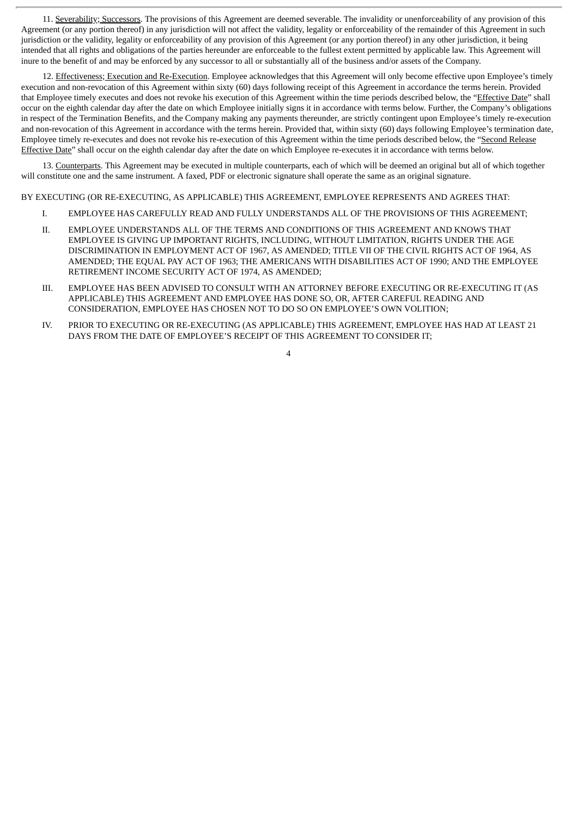11. Severability; Successors. The provisions of this Agreement are deemed severable. The invalidity or unenforceability of any provision of this Agreement (or any portion thereof) in any jurisdiction will not affect the validity, legality or enforceability of the remainder of this Agreement in such jurisdiction or the validity, legality or enforceability of any provision of this Agreement (or any portion thereof) in any other jurisdiction, it being intended that all rights and obligations of the parties hereunder are enforceable to the fullest extent permitted by applicable law. This Agreement will inure to the benefit of and may be enforced by any successor to all or substantially all of the business and/or assets of the Company.

12. Effectiveness; Execution and Re-Execution. Employee acknowledges that this Agreement will only become effective upon Employee's timely execution and non-revocation of this Agreement within sixty (60) days following receipt of this Agreement in accordance the terms herein. Provided that Employee timely executes and does not revoke his execution of this Agreement within the time periods described below, the "Effective Date" shall occur on the eighth calendar day after the date on which Employee initially signs it in accordance with terms below. Further, the Company's obligations in respect of the Termination Benefits, and the Company making any payments thereunder, are strictly contingent upon Employee's timely re-execution and non-revocation of this Agreement in accordance with the terms herein. Provided that, within sixty (60) days following Employee's termination date, Employee timely re-executes and does not revoke his re-execution of this Agreement within the time periods described below, the "Second Release Effective Date" shall occur on the eighth calendar day after the date on which Employee re-executes it in accordance with terms below.

13. Counterparts. This Agreement may be executed in multiple counterparts, each of which will be deemed an original but all of which together will constitute one and the same instrument. A faxed, PDF or electronic signature shall operate the same as an original signature.

BY EXECUTING (OR RE-EXECUTING, AS APPLICABLE) THIS AGREEMENT, EMPLOYEE REPRESENTS AND AGREES THAT:

- I. EMPLOYEE HAS CAREFULLY READ AND FULLY UNDERSTANDS ALL OF THE PROVISIONS OF THIS AGREEMENT;
- II. EMPLOYEE UNDERSTANDS ALL OF THE TERMS AND CONDITIONS OF THIS AGREEMENT AND KNOWS THAT EMPLOYEE IS GIVING UP IMPORTANT RIGHTS, INCLUDING, WITHOUT LIMITATION, RIGHTS UNDER THE AGE DISCRIMINATION IN EMPLOYMENT ACT OF 1967, AS AMENDED; TITLE VII OF THE CIVIL RIGHTS ACT OF 1964, AS AMENDED; THE EQUAL PAY ACT OF 1963; THE AMERICANS WITH DISABILITIES ACT OF 1990; AND THE EMPLOYEE RETIREMENT INCOME SECURITY ACT OF 1974, AS AMENDED;
- III. EMPLOYEE HAS BEEN ADVISED TO CONSULT WITH AN ATTORNEY BEFORE EXECUTING OR RE-EXECUTING IT (AS APPLICABLE) THIS AGREEMENT AND EMPLOYEE HAS DONE SO, OR, AFTER CAREFUL READING AND CONSIDERATION, EMPLOYEE HAS CHOSEN NOT TO DO SO ON EMPLOYEE'S OWN VOLITION;
- IV. PRIOR TO EXECUTING OR RE-EXECUTING (AS APPLICABLE) THIS AGREEMENT, EMPLOYEE HAS HAD AT LEAST 21 DAYS FROM THE DATE OF EMPLOYEE'S RECEIPT OF THIS AGREEMENT TO CONSIDER IT;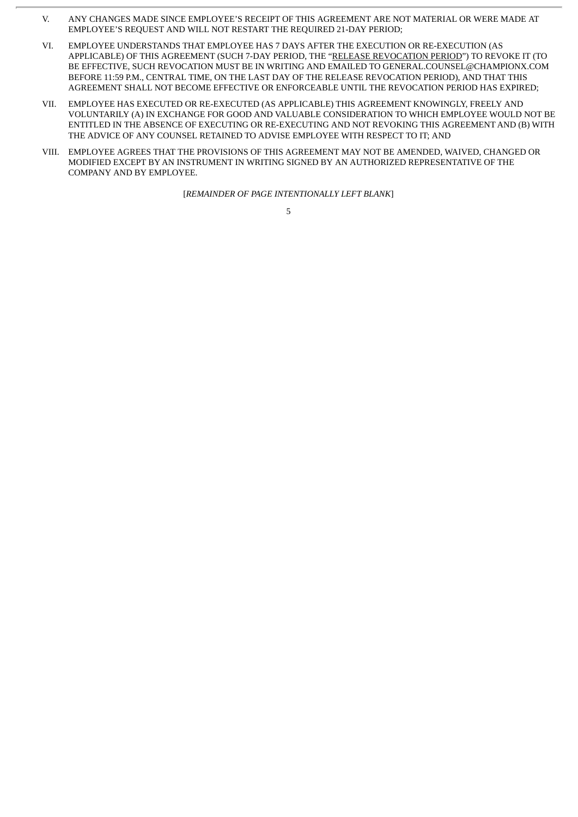- V. ANY CHANGES MADE SINCE EMPLOYEE'S RECEIPT OF THIS AGREEMENT ARE NOT MATERIAL OR WERE MADE AT EMPLOYEE'S REQUEST AND WILL NOT RESTART THE REQUIRED 21-DAY PERIOD;
- VI. EMPLOYEE UNDERSTANDS THAT EMPLOYEE HAS 7 DAYS AFTER THE EXECUTION OR RE-EXECUTION (AS APPLICABLE) OF THIS AGREEMENT (SUCH 7-DAY PERIOD, THE "RELEASE REVOCATION PERIOD") TO REVOKE IT (TO BE EFFECTIVE, SUCH REVOCATION MUST BE IN WRITING AND EMAILED TO GENERAL.COUNSEL@CHAMPIONX.COM BEFORE 11:59 P.M., CENTRAL TIME, ON THE LAST DAY OF THE RELEASE REVOCATION PERIOD), AND THAT THIS AGREEMENT SHALL NOT BECOME EFFECTIVE OR ENFORCEABLE UNTIL THE REVOCATION PERIOD HAS EXPIRED;
- VII. EMPLOYEE HAS EXECUTED OR RE-EXECUTED (AS APPLICABLE) THIS AGREEMENT KNOWINGLY, FREELY AND VOLUNTARILY (A) IN EXCHANGE FOR GOOD AND VALUABLE CONSIDERATION TO WHICH EMPLOYEE WOULD NOT BE ENTITLED IN THE ABSENCE OF EXECUTING OR RE-EXECUTING AND NOT REVOKING THIS AGREEMENT AND (B) WITH THE ADVICE OF ANY COUNSEL RETAINED TO ADVISE EMPLOYEE WITH RESPECT TO IT; AND
- VIII. EMPLOYEE AGREES THAT THE PROVISIONS OF THIS AGREEMENT MAY NOT BE AMENDED, WAIVED, CHANGED OR MODIFIED EXCEPT BY AN INSTRUMENT IN WRITING SIGNED BY AN AUTHORIZED REPRESENTATIVE OF THE COMPANY AND BY EMPLOYEE.

[*REMAINDER OF PAGE INTENTIONALLY LEFT BLANK*]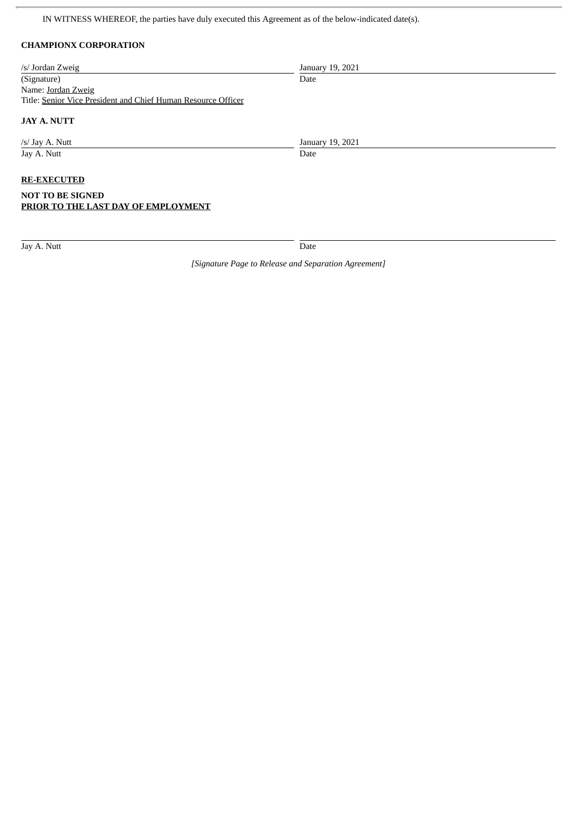IN WITNESS WHEREOF, the parties have duly executed this Agreement as of the below-indicated date(s).

# **CHAMPIONX CORPORATION**

| /s/ Jordan Zweig                                                                     | January 19, 2021 |
|--------------------------------------------------------------------------------------|------------------|
| (Signature)                                                                          | Date             |
| Name: Jordan Zweig                                                                   |                  |
| Title: Senior Vice President and Chief Human Resource Officer                        |                  |
| <b>JAY A. NUTT</b>                                                                   |                  |
| /s/ Jay A. Nutt                                                                      | January 19, 2021 |
| Jay A. Nutt                                                                          | Date             |
| <b>RE-EXECUTED</b><br><b>NOT TO BE SIGNED</b><br>PRIOR TO THE LAST DAY OF EMPLOYMENT |                  |

Jay A. Nutt Date

*[Signature Page to Release and Separation Agreement]*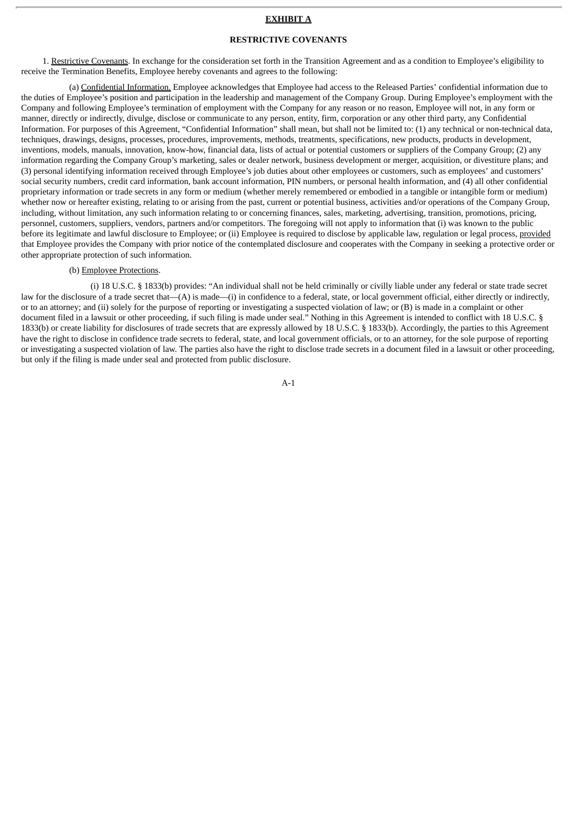#### **EXHIBIT A**

#### **RESTRICTIVE COVENANTS**

1. Restrictive Covenants. In exchange for the consideration set forth in the Transition Agreement and as a condition to Employee's eligibility to receive the Termination Benefits, Employee hereby covenants and agrees to the following:

(a) Confidential Information. Employee acknowledges that Employee had access to the Released Parties' confidential information due to the duties of Employee's position and participation in the leadership and management of the Company Group. During Employee's employment with the Company and following Employee's termination of employment with the Company for any reason or no reason, Employee will not, in any form or manner, directly or indirectly, divulge, disclose or communicate to any person, entity, firm, corporation or any other third party, any Confidential Information. For purposes of this Agreement, "Confidential Information" shall mean, but shall not be limited to: (1) any technical or non-technical data, techniques, drawings, designs, processes, procedures, improvements, methods, treatments, specifications, new products, products in development, inventions, models, manuals, innovation, know-how, financial data, lists of actual or potential customers or suppliers of the Company Group; (2) any information regarding the Company Group's marketing, sales or dealer network, business development or merger, acquisition, or divestiture plans; and (3) personal identifying information received through Employee's job duties about other employees or customers, such as employees' and customers' social security numbers, credit card information, bank account information, PIN numbers, or personal health information, and (4) all other confidential proprietary information or trade secrets in any form or medium (whether merely remembered or embodied in a tangible or intangible form or medium) whether now or hereafter existing, relating to or arising from the past, current or potential business, activities and/or operations of the Company Group, including, without limitation, any such information relating to or concerning finances, sales, marketing, advertising, transition, promotions, pricing, personnel, customers, suppliers, vendors, partners and/or competitors. The foregoing will not apply to information that (i) was known to the public before its legitimate and lawful disclosure to Employee; or (ii) Employee is required to disclose by applicable law, regulation or legal process, provided that Employee provides the Company with prior notice of the contemplated disclosure and cooperates with the Company in seeking a protective order or other appropriate protection of such information.

#### (b) Employee Protections.

(i) 18 U.S.C. § 1833(b) provides: "An individual shall not be held criminally or civilly liable under any federal or state trade secret law for the disclosure of a trade secret that—(A) is made—(i) in confidence to a federal, state, or local government official, either directly or indirectly, or to an attorney; and (ii) solely for the purpose of reporting or investigating a suspected violation of law; or (B) is made in a complaint or other document filed in a lawsuit or other proceeding, if such filing is made under seal." Nothing in this Agreement is intended to conflict with 18 U.S.C. § 1833(b) or create liability for disclosures of trade secrets that are expressly allowed by 18 U.S.C. § 1833(b). Accordingly, the parties to this Agreement have the right to disclose in confidence trade secrets to federal, state, and local government officials, or to an attorney, for the sole purpose of reporting or investigating a suspected violation of law. The parties also have the right to disclose trade secrets in a document filed in a lawsuit or other proceeding, but only if the filing is made under seal and protected from public disclosure.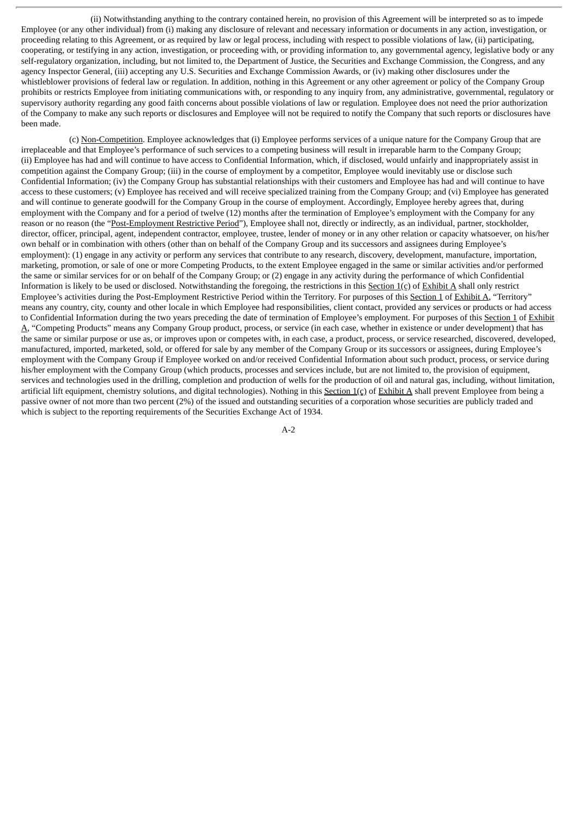(ii) Notwithstanding anything to the contrary contained herein, no provision of this Agreement will be interpreted so as to impede Employee (or any other individual) from (i) making any disclosure of relevant and necessary information or documents in any action, investigation, or proceeding relating to this Agreement, or as required by law or legal process, including with respect to possible violations of law, (ii) participating, cooperating, or testifying in any action, investigation, or proceeding with, or providing information to, any governmental agency, legislative body or any self-regulatory organization, including, but not limited to, the Department of Justice, the Securities and Exchange Commission, the Congress, and any agency Inspector General, (iii) accepting any U.S. Securities and Exchange Commission Awards, or (iv) making other disclosures under the whistleblower provisions of federal law or regulation. In addition, nothing in this Agreement or any other agreement or policy of the Company Group prohibits or restricts Employee from initiating communications with, or responding to any inquiry from, any administrative, governmental, regulatory or supervisory authority regarding any good faith concerns about possible violations of law or regulation. Employee does not need the prior authorization of the Company to make any such reports or disclosures and Employee will not be required to notify the Company that such reports or disclosures have been made.

(c) Non-Competition. Employee acknowledges that (i) Employee performs services of a unique nature for the Company Group that are irreplaceable and that Employee's performance of such services to a competing business will result in irreparable harm to the Company Group; (ii) Employee has had and will continue to have access to Confidential Information, which, if disclosed, would unfairly and inappropriately assist in competition against the Company Group; (iii) in the course of employment by a competitor, Employee would inevitably use or disclose such Confidential Information; (iv) the Company Group has substantial relationships with their customers and Employee has had and will continue to have access to these customers; (v) Employee has received and will receive specialized training from the Company Group; and (vi) Employee has generated and will continue to generate goodwill for the Company Group in the course of employment. Accordingly, Employee hereby agrees that, during employment with the Company and for a period of twelve (12) months after the termination of Employee's employment with the Company for any reason or no reason (the "Post-Employment Restrictive Period"), Employee shall not, directly or indirectly, as an individual, partner, stockholder, director, officer, principal, agent, independent contractor, employee, trustee, lender of money or in any other relation or capacity whatsoever, on his/her own behalf or in combination with others (other than on behalf of the Company Group and its successors and assignees during Employee's employment): (1) engage in any activity or perform any services that contribute to any research, discovery, development, manufacture, importation, marketing, promotion, or sale of one or more Competing Products, to the extent Employee engaged in the same or similar activities and/or performed the same or similar services for or on behalf of the Company Group; or (2) engage in any activity during the performance of which Confidential Information is likely to be used or disclosed. Notwithstanding the foregoing, the restrictions in this Section 1(c) of Exhibit A shall only restrict Employee's activities during the Post-Employment Restrictive Period within the Territory. For purposes of this Section 1 of Exhibit A, "Territory" means any country, city, county and other locale in which Employee had responsibilities, client contact, provided any services or products or had access to Confidential Information during the two years preceding the date of termination of Employee's employment. For purposes of this Section 1 of Exhibit A, "Competing Products" means any Company Group product, process, or service (in each case, whether in existence or under development) that has the same or similar purpose or use as, or improves upon or competes with, in each case, a product, process, or service researched, discovered, developed, manufactured, imported, marketed, sold, or offered for sale by any member of the Company Group or its successors or assignees, during Employee's employment with the Company Group if Employee worked on and/or received Confidential Information about such product, process, or service during his/her employment with the Company Group (which products, processes and services include, but are not limited to, the provision of equipment, services and technologies used in the drilling, completion and production of wells for the production of oil and natural gas, including, without limitation, artificial lift equipment, chemistry solutions, and digital technologies). Nothing in this Section  $1(c)$  of Exhibit A shall prevent Employee from being a passive owner of not more than two percent (2%) of the issued and outstanding securities of a corporation whose securities are publicly traded and which is subject to the reporting requirements of the Securities Exchange Act of 1934.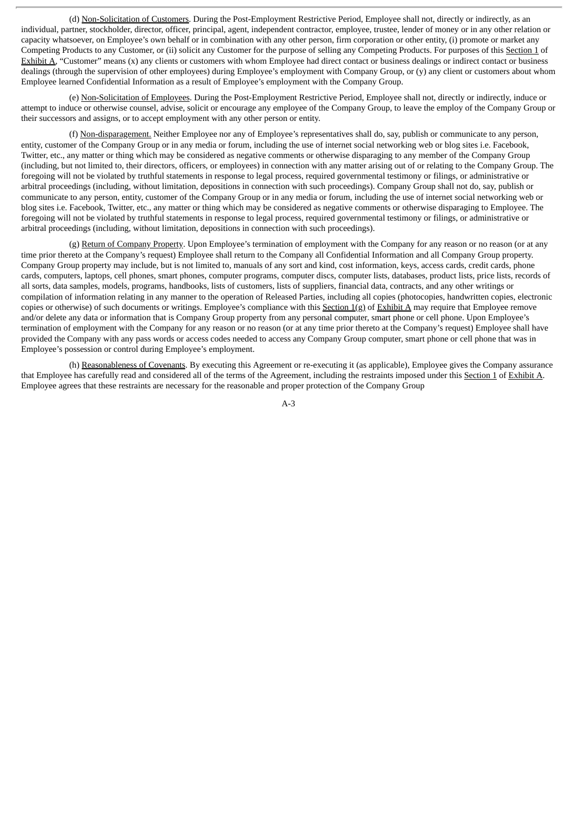(d) Non-Solicitation of Customers. During the Post-Employment Restrictive Period, Employee shall not, directly or indirectly, as an individual, partner, stockholder, director, officer, principal, agent, independent contractor, employee, trustee, lender of money or in any other relation or capacity whatsoever, on Employee's own behalf or in combination with any other person, firm corporation or other entity, (i) promote or market any Competing Products to any Customer, or (ii) solicit any Customer for the purpose of selling any Competing Products. For purposes of this Section 1 of Exhibit A, "Customer" means (x) any clients or customers with whom Employee had direct contact or business dealings or indirect contact or business dealings (through the supervision of other employees) during Employee's employment with Company Group, or (y) any client or customers about whom Employee learned Confidential Information as a result of Employee's employment with the Company Group.

(e) Non-Solicitation of Employees. During the Post-Employment Restrictive Period, Employee shall not, directly or indirectly, induce or attempt to induce or otherwise counsel, advise, solicit or encourage any employee of the Company Group, to leave the employ of the Company Group or their successors and assigns, or to accept employment with any other person or entity.

(f) Non-disparagement. Neither Employee nor any of Employee's representatives shall do, say, publish or communicate to any person, entity, customer of the Company Group or in any media or forum, including the use of internet social networking web or blog sites i.e. Facebook, Twitter, etc., any matter or thing which may be considered as negative comments or otherwise disparaging to any member of the Company Group (including, but not limited to, their directors, officers, or employees) in connection with any matter arising out of or relating to the Company Group. The foregoing will not be violated by truthful statements in response to legal process, required governmental testimony or filings, or administrative or arbitral proceedings (including, without limitation, depositions in connection with such proceedings). Company Group shall not do, say, publish or communicate to any person, entity, customer of the Company Group or in any media or forum, including the use of internet social networking web or blog sites i.e. Facebook, Twitter, etc., any matter or thing which may be considered as negative comments or otherwise disparaging to Employee. The foregoing will not be violated by truthful statements in response to legal process, required governmental testimony or filings, or administrative or arbitral proceedings (including, without limitation, depositions in connection with such proceedings).

(g) Return of Company Property. Upon Employee's termination of employment with the Company for any reason or no reason (or at any time prior thereto at the Company's request) Employee shall return to the Company all Confidential Information and all Company Group property. Company Group property may include, but is not limited to, manuals of any sort and kind, cost information, keys, access cards, credit cards, phone cards, computers, laptops, cell phones, smart phones, computer programs, computer discs, computer lists, databases, product lists, price lists, records of all sorts, data samples, models, programs, handbooks, lists of customers, lists of suppliers, financial data, contracts, and any other writings or compilation of information relating in any manner to the operation of Released Parties, including all copies (photocopies, handwritten copies, electronic copies or otherwise) of such documents or writings. Employee's compliance with this Section  $1(g)$  of Exhibit A may require that Employee remove and/or delete any data or information that is Company Group property from any personal computer, smart phone or cell phone. Upon Employee's termination of employment with the Company for any reason or no reason (or at any time prior thereto at the Company's request) Employee shall have provided the Company with any pass words or access codes needed to access any Company Group computer, smart phone or cell phone that was in Employee's possession or control during Employee's employment.

(h) Reasonableness of Covenants. By executing this Agreement or re-executing it (as applicable), Employee gives the Company assurance that Employee has carefully read and considered all of the terms of the Agreement, including the restraints imposed under this Section 1 of Exhibit A. Employee agrees that these restraints are necessary for the reasonable and proper protection of the Company Group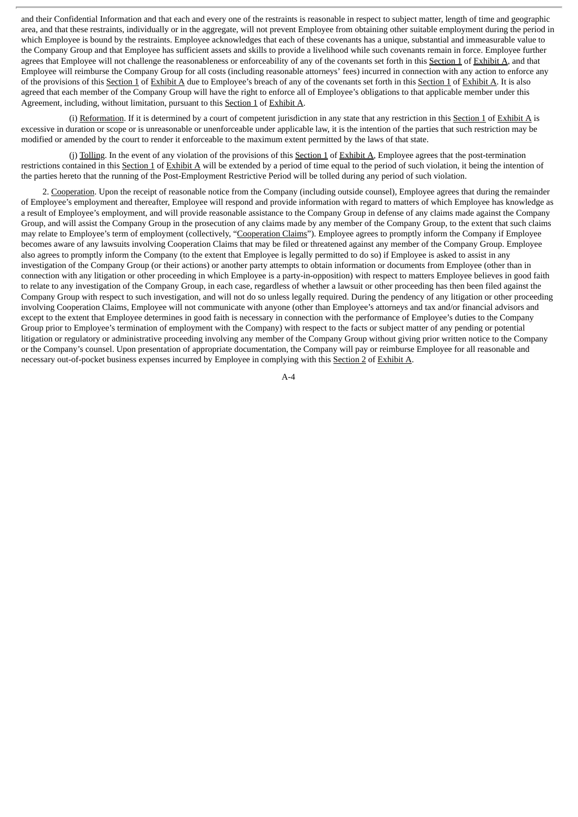and their Confidential Information and that each and every one of the restraints is reasonable in respect to subject matter, length of time and geographic area, and that these restraints, individually or in the aggregate, will not prevent Employee from obtaining other suitable employment during the period in which Employee is bound by the restraints. Employee acknowledges that each of these covenants has a unique, substantial and immeasurable value to the Company Group and that Employee has sufficient assets and skills to provide a livelihood while such covenants remain in force. Employee further agrees that Employee will not challenge the reasonableness or enforceability of any of the covenants set forth in this Section 1 of Exhibit A, and that Employee will reimburse the Company Group for all costs (including reasonable attorneys' fees) incurred in connection with any action to enforce any of the provisions of this Section 1 of Exhibit A due to Employee's breach of any of the covenants set forth in this Section 1 of Exhibit A. It is also agreed that each member of the Company Group will have the right to enforce all of Employee's obligations to that applicable member under this Agreement, including, without limitation, pursuant to this Section 1 of Exhibit A.

(i) Reformation. If it is determined by a court of competent jurisdiction in any state that any restriction in this Section 1 of Exhibit A is excessive in duration or scope or is unreasonable or unenforceable under applicable law, it is the intention of the parties that such restriction may be modified or amended by the court to render it enforceable to the maximum extent permitted by the laws of that state.

(j) Tolling. In the event of any violation of the provisions of this Section 1 of Exhibit A, Employee agrees that the post-termination restrictions contained in this Section 1 of Exhibit A will be extended by a period of time equal to the period of such violation, it being the intention of the parties hereto that the running of the Post-Employment Restrictive Period will be tolled during any period of such violation.

2. Cooperation. Upon the receipt of reasonable notice from the Company (including outside counsel), Employee agrees that during the remainder of Employee's employment and thereafter, Employee will respond and provide information with regard to matters of which Employee has knowledge as a result of Employee's employment, and will provide reasonable assistance to the Company Group in defense of any claims made against the Company Group, and will assist the Company Group in the prosecution of any claims made by any member of the Company Group, to the extent that such claims may relate to Employee's term of employment (collectively, "Cooperation Claims"). Employee agrees to promptly inform the Company if Employee becomes aware of any lawsuits involving Cooperation Claims that may be filed or threatened against any member of the Company Group. Employee also agrees to promptly inform the Company (to the extent that Employee is legally permitted to do so) if Employee is asked to assist in any investigation of the Company Group (or their actions) or another party attempts to obtain information or documents from Employee (other than in connection with any litigation or other proceeding in which Employee is a party-in-opposition) with respect to matters Employee believes in good faith to relate to any investigation of the Company Group, in each case, regardless of whether a lawsuit or other proceeding has then been filed against the Company Group with respect to such investigation, and will not do so unless legally required. During the pendency of any litigation or other proceeding involving Cooperation Claims, Employee will not communicate with anyone (other than Employee's attorneys and tax and/or financial advisors and except to the extent that Employee determines in good faith is necessary in connection with the performance of Employee's duties to the Company Group prior to Employee's termination of employment with the Company) with respect to the facts or subject matter of any pending or potential litigation or regulatory or administrative proceeding involving any member of the Company Group without giving prior written notice to the Company or the Company's counsel. Upon presentation of appropriate documentation, the Company will pay or reimburse Employee for all reasonable and necessary out-of-pocket business expenses incurred by Employee in complying with this Section 2 of Exhibit A.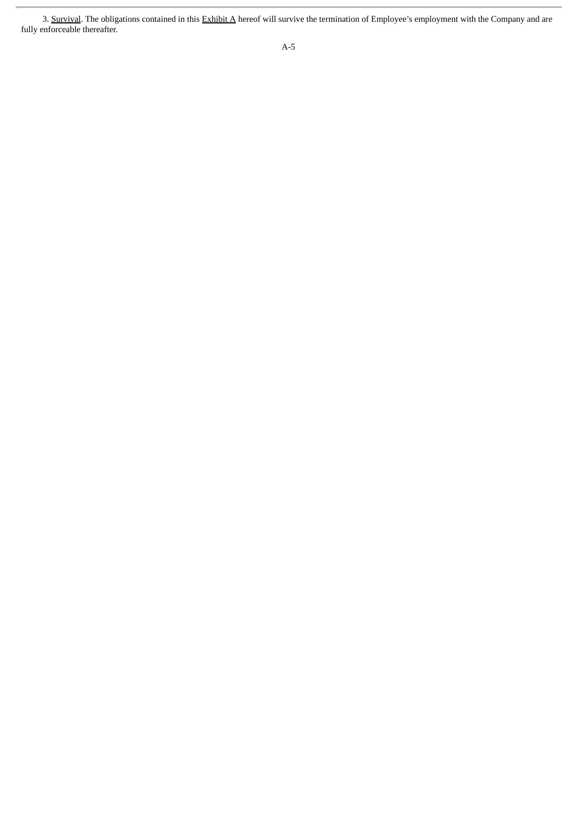<sup>3.</sup> Survival. The obligations contained in this Exhibit A hereof will survive the termination of Employee's employment with the Company and are fully enforceable thereafter.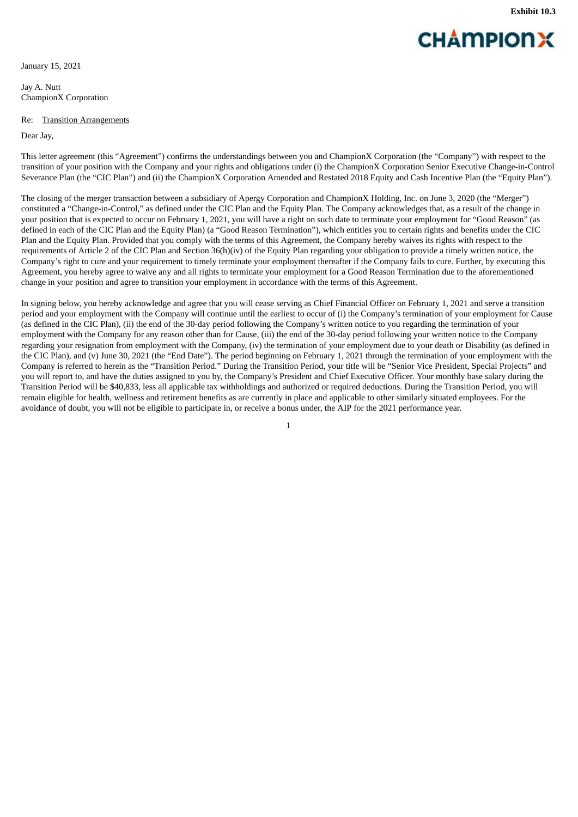# **CHAMPIONX**

<span id="page-28-0"></span>January 15, 2021

Jay A. Nutt ChampionX Corporation

#### Re: Transition Arrangements

Dear Jay,

This letter agreement (this "Agreement") confirms the understandings between you and ChampionX Corporation (the "Company") with respect to the transition of your position with the Company and your rights and obligations under (i) the ChampionX Corporation Senior Executive Change-in-Control Severance Plan (the "CIC Plan") and (ii) the ChampionX Corporation Amended and Restated 2018 Equity and Cash Incentive Plan (the "Equity Plan").

The closing of the merger transaction between a subsidiary of Apergy Corporation and ChampionX Holding, Inc. on June 3, 2020 (the "Merger") constituted a "Change-in-Control," as defined under the CIC Plan and the Equity Plan. The Company acknowledges that, as a result of the change in your position that is expected to occur on February 1, 2021, you will have a right on such date to terminate your employment for "Good Reason" (as defined in each of the CIC Plan and the Equity Plan) (a "Good Reason Termination"), which entitles you to certain rights and benefits under the CIC Plan and the Equity Plan. Provided that you comply with the terms of this Agreement, the Company hereby waives its rights with respect to the requirements of Article 2 of the CIC Plan and Section 36(h)(iv) of the Equity Plan regarding your obligation to provide a timely written notice, the Company's right to cure and your requirement to timely terminate your employment thereafter if the Company fails to cure. Further, by executing this Agreement, you hereby agree to waive any and all rights to terminate your employment for a Good Reason Termination due to the aforementioned change in your position and agree to transition your employment in accordance with the terms of this Agreement.

In signing below, you hereby acknowledge and agree that you will cease serving as Chief Financial Officer on February 1, 2021 and serve a transition period and your employment with the Company will continue until the earliest to occur of (i) the Company's termination of your employment for Cause (as defined in the CIC Plan), (ii) the end of the 30-day period following the Company's written notice to you regarding the termination of your employment with the Company for any reason other than for Cause, (iii) the end of the 30-day period following your written notice to the Company regarding your resignation from employment with the Company, (iv) the termination of your employment due to your death or Disability (as defined in the CIC Plan), and (v) June 30, 2021 (the "End Date"). The period beginning on February 1, 2021 through the termination of your employment with the Company is referred to herein as the "Transition Period." During the Transition Period, your title will be "Senior Vice President, Special Projects" and you will report to, and have the duties assigned to you by, the Company's President and Chief Executive Officer. Your monthly base salary during the Transition Period will be \$40,833, less all applicable tax withholdings and authorized or required deductions. During the Transition Period, you will remain eligible for health, wellness and retirement benefits as are currently in place and applicable to other similarly situated employees. For the avoidance of doubt, you will not be eligible to participate in, or receive a bonus under, the AIP for the 2021 performance year.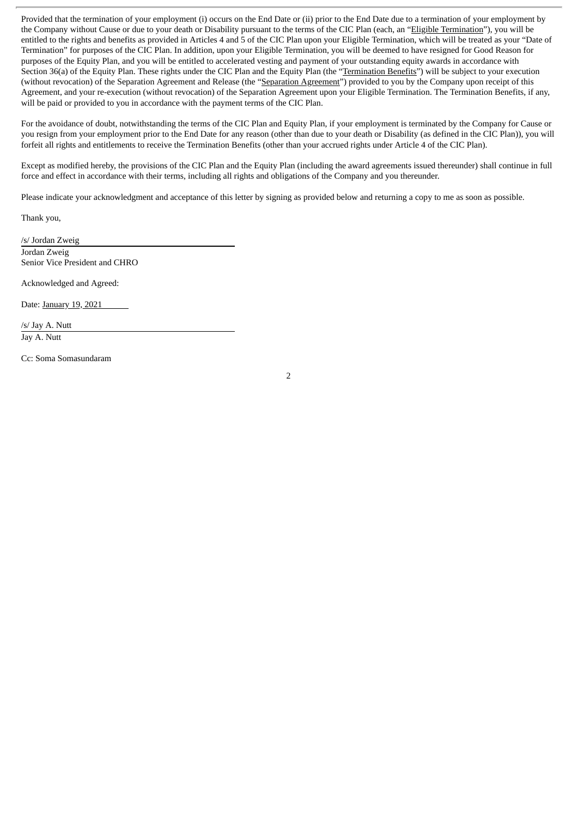Provided that the termination of your employment (i) occurs on the End Date or (ii) prior to the End Date due to a termination of your employment by the Company without Cause or due to your death or Disability pursuant to the terms of the CIC Plan (each, an "Eligible Termination"), you will be entitled to the rights and benefits as provided in Articles 4 and 5 of the CIC Plan upon your Eligible Termination, which will be treated as your "Date of Termination" for purposes of the CIC Plan. In addition, upon your Eligible Termination, you will be deemed to have resigned for Good Reason for purposes of the Equity Plan, and you will be entitled to accelerated vesting and payment of your outstanding equity awards in accordance with Section 36(a) of the Equity Plan. These rights under the CIC Plan and the Equity Plan (the "Termination Benefits") will be subject to your execution (without revocation) of the Separation Agreement and Release (the "Separation Agreement") provided to you by the Company upon receipt of this Agreement, and your re-execution (without revocation) of the Separation Agreement upon your Eligible Termination. The Termination Benefits, if any, will be paid or provided to you in accordance with the payment terms of the CIC Plan.

For the avoidance of doubt, notwithstanding the terms of the CIC Plan and Equity Plan, if your employment is terminated by the Company for Cause or you resign from your employment prior to the End Date for any reason (other than due to your death or Disability (as defined in the CIC Plan)), you will forfeit all rights and entitlements to receive the Termination Benefits (other than your accrued rights under Article 4 of the CIC Plan).

Except as modified hereby, the provisions of the CIC Plan and the Equity Plan (including the award agreements issued thereunder) shall continue in full force and effect in accordance with their terms, including all rights and obligations of the Company and you thereunder.

Please indicate your acknowledgment and acceptance of this letter by signing as provided below and returning a copy to me as soon as possible.

Thank you,

/s/ Jordan Zweig Jordan Zweig Senior Vice President and CHRO

Acknowledged and Agreed:

Date: January 19, 2021

/s/ Jay A. Nutt Jay A. Nutt

Cc: Soma Somasundaram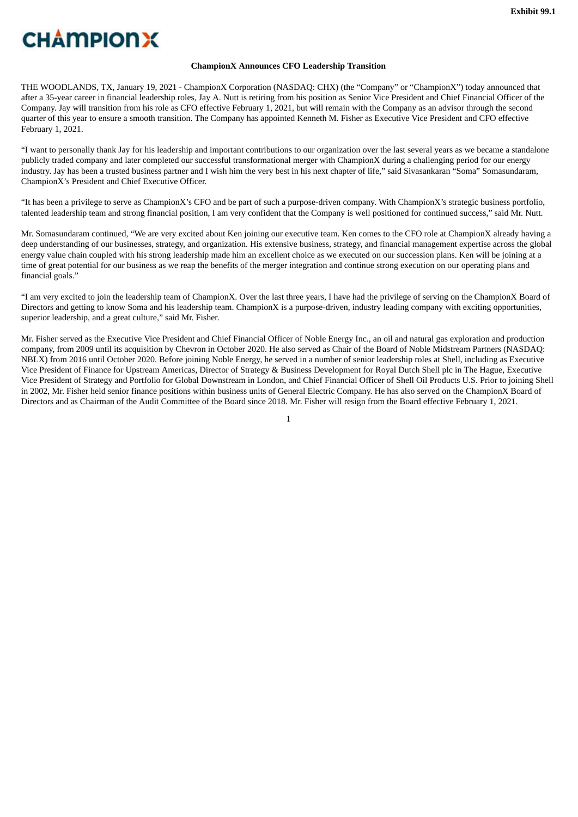# <span id="page-30-0"></span>**CHAMPIONX**

### **ChampionX Announces CFO Leadership Transition**

THE WOODLANDS, TX, January 19, 2021 - ChampionX Corporation (NASDAQ: CHX) (the "Company" or "ChampionX") today announced that after a 35-year career in financial leadership roles, Jay A. Nutt is retiring from his position as Senior Vice President and Chief Financial Officer of the Company. Jay will transition from his role as CFO effective February 1, 2021, but will remain with the Company as an advisor through the second quarter of this year to ensure a smooth transition. The Company has appointed Kenneth M. Fisher as Executive Vice President and CFO effective February 1, 2021.

"I want to personally thank Jay for his leadership and important contributions to our organization over the last several years as we became a standalone publicly traded company and later completed our successful transformational merger with ChampionX during a challenging period for our energy industry. Jay has been a trusted business partner and I wish him the very best in his next chapter of life," said Sivasankaran "Soma" Somasundaram, ChampionX's President and Chief Executive Officer.

"It has been a privilege to serve as ChampionX's CFO and be part of such a purpose-driven company. With ChampionX's strategic business portfolio, talented leadership team and strong financial position, I am very confident that the Company is well positioned for continued success," said Mr. Nutt.

Mr. Somasundaram continued, "We are very excited about Ken joining our executive team. Ken comes to the CFO role at ChampionX already having a deep understanding of our businesses, strategy, and organization. His extensive business, strategy, and financial management expertise across the global energy value chain coupled with his strong leadership made him an excellent choice as we executed on our succession plans. Ken will be joining at a time of great potential for our business as we reap the benefits of the merger integration and continue strong execution on our operating plans and financial goals."

"I am very excited to join the leadership team of ChampionX. Over the last three years, I have had the privilege of serving on the ChampionX Board of Directors and getting to know Soma and his leadership team. ChampionX is a purpose-driven, industry leading company with exciting opportunities, superior leadership, and a great culture," said Mr. Fisher.

Mr. Fisher served as the Executive Vice President and Chief Financial Officer of Noble Energy Inc., an oil and natural gas exploration and production company, from 2009 until its acquisition by Chevron in October 2020. He also served as Chair of the Board of Noble Midstream Partners (NASDAQ: NBLX) from 2016 until October 2020. Before joining Noble Energy, he served in a number of senior leadership roles at Shell, including as Executive Vice President of Finance for Upstream Americas, Director of Strategy & Business Development for Royal Dutch Shell plc in The Hague, Executive Vice President of Strategy and Portfolio for Global Downstream in London, and Chief Financial Officer of Shell Oil Products U.S. Prior to joining Shell in 2002, Mr. Fisher held senior finance positions within business units of General Electric Company. He has also served on the ChampionX Board of Directors and as Chairman of the Audit Committee of the Board since 2018. Mr. Fisher will resign from the Board effective February 1, 2021.